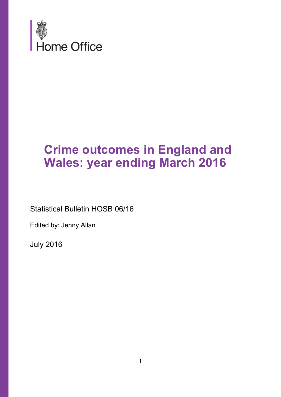

# **Crime outcomes in England and Wales: year ending March 2016**

Statistical Bulletin HOSB 06/16

Edited by: Jenny Allan

July 2016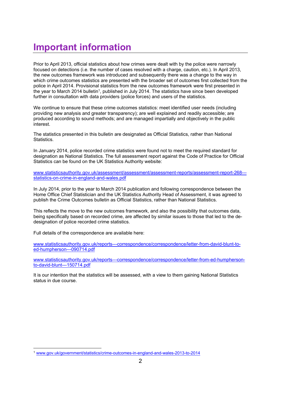## **Important information**

Prior to April 2013, official statistics about how crimes were dealt with by the police were narrowly focused on detections (i.e. the number of cases resolved with a charge, caution, etc.). In April 2013, the new outcomes framework was introduced and subsequently there was a change to the way in which crime outcomes statistics are presented with the broader set of outcomes first collected from the police in April 2014. Provisional statistics from the new outcomes framework were first presented in the year to March 2014 bulletin<sup>1</sup>, published in July 2014. The statistics have since been developed further in consultation with data providers (police forces) and users of the statistics.

We continue to ensure that these crime outcomes statistics: meet identified user needs (including providing new analysis and greater transparency); are well explained and readily accessible; are produced according to sound methods; and are managed impartially and objectively in the public interest.

The statistics presented in this bulletin are designated as Official Statistics, rather than National Statistics.

In January 2014, police recorded crime statistics were found not to meet the required standard for designation as National Statistics. The full assessment report against the Code of Practice for Official Statistics can be found on the UK Statistics Authority website:

www.statisticsauthority.gov.uk/assessment/assessment/assessment-reports/assessment-report-268--statistics-on-crime-in-england-and-wales.pdf

In July 2014, prior to the year to March 2014 publication and following correspondence between the Home Office Chief Statistician and the UK Statistics Authority Head of Assessment, it was agreed to publish the Crime Outcomes bulletin as Official Statistics, rather than National Statistics.

This reflects the move to the new outcomes framework, and also the possibility that outcomes data, being specifically based on recorded crime, are affected by similar issues to those that led to the dedesignation of police recorded crime statistics.

Full details of the correspondence are available here:

 

www.statisticsauthority.gov.uk/reports---correspondence/correspondence/letter-from-david-blunt-toed-humpherson---090714.pdf

www.statisticsauthority.gov.uk/reports---correspondence/correspondence/letter-from-ed-humphersonto-david-blunt---150714.pdf

It is our intention that the statistics will be assessed, with a view to them gaining National Statistics status in due course.

<sup>1</sup> www.gov.uk/government/statistics/crime-outcomes-in-england-and-wales-2013-to-2014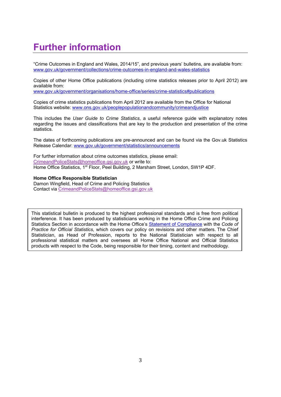## **Further information**

"Crime Outcomes in England and Wales, 2014/15", and previous years' bulletins, are available from: www.gov.uk/government/collections/crime-outcomes-in-england-and-wales-statistics

Copies of other Home Office publications (including crime statistics releases prior to April 2012) are available from:

www.gov.uk/government/organisations/home-office/series/crime-statistics#publications

Copies of crime statistics publications from April 2012 are available from the Office for National Statistics website: www.ons.gov.uk/peoplepopulationandcommunity/crimeandjustice

This includes the *User Guide to Crime Statistics*, a useful reference guide with explanatory notes regarding the issues and classifications that are key to the production and presentation of the crime statistics.

The dates of forthcoming publications are pre-announced and can be found via the Gov.uk Statistics Release Calendar: www.gov.uk/government/statistics/announcements

For further information about crime outcomes statistics, please email: CrimeandPoliceStats@homeoffice.gsi.gov.uk or write to: Home Office Statistics, 1<sup>st</sup> Floor, Peel Building, 2 Marsham Street, London, SW1P 4DF.

#### **Home Office Responsible Statistician**

Damon Wingfield, Head of Crime and Policing Statistics Contact via CrimeandPoliceStats@homeoffice.gsi.gov.uk

This statistical bulletin is produced to the highest professional standards and is free from political interference. It has been produced by statisticians working in the Home Office Crime and Policing Statistics Section in accordance with the Home Office's [Statement of Compliance](https://www.gov.uk/government/publications/statement-of-compliance-with-code-of-practice-for-official-statistics) with the *Code of Practice for Official Statistics,* which covers our policy on revisions and other matters. The Chief Statistician, as Head of Profession, reports to the National Statistician with respect to all professional statistical matters and oversees all Home Office National and Official Statistics products with respect to the Code, being responsible for their timing, content and methodology.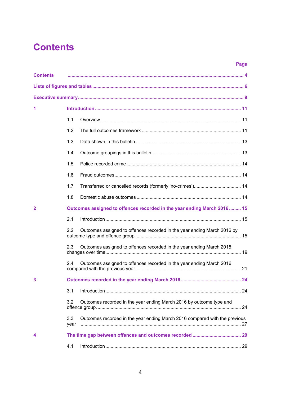## **Contents**

#### **Page**

| <b>Contents</b> |             |                                                                            |  |
|-----------------|-------------|----------------------------------------------------------------------------|--|
|                 |             |                                                                            |  |
|                 |             |                                                                            |  |
| 1               |             |                                                                            |  |
|                 | 1.1         |                                                                            |  |
|                 | 1.2         |                                                                            |  |
|                 | 1.3         |                                                                            |  |
|                 | 1.4         |                                                                            |  |
|                 | 1.5         |                                                                            |  |
|                 | 1.6         |                                                                            |  |
|                 | 1.7         |                                                                            |  |
|                 | 1.8         |                                                                            |  |
| $\mathbf{2}$    |             | Outcomes assigned to offences recorded in the year ending March 2016 15    |  |
|                 | 2.1         |                                                                            |  |
|                 | 2.2         | Outcomes assigned to offences recorded in the year ending March 2016 by    |  |
|                 | 2.3         | Outcomes assigned to offences recorded in the year ending March 2015:      |  |
|                 | 2.4         | Outcomes assigned to offences recorded in the year ending March 2016       |  |
|                 |             |                                                                            |  |
|                 | 3.1         |                                                                            |  |
|                 | 3.2         | Outcomes recorded in the year ending March 2016 by outcome type and        |  |
|                 | 3.3<br>year | Outcomes recorded in the year ending March 2016 compared with the previous |  |
|                 |             |                                                                            |  |
|                 | 4.1         |                                                                            |  |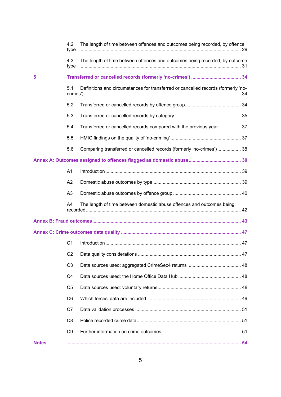|              | 4.2<br>type    | The length of time between offences and outcomes being recorded, by offence       |  |
|--------------|----------------|-----------------------------------------------------------------------------------|--|
|              | 4.3<br>type    | The length of time between offences and outcomes being recorded, by outcome       |  |
| 5            |                |                                                                                   |  |
|              | 5.1            | Definitions and circumstances for transferred or cancelled records (formerly 'no- |  |
|              | 5.2            |                                                                                   |  |
|              | 5.3            |                                                                                   |  |
|              | 5.4            | Transferred or cancelled records compared with the previous year  37              |  |
|              | 5.5            |                                                                                   |  |
|              | 5.6            | Comparing transferred or cancelled records (formerly 'no-crimes') 38              |  |
|              |                |                                                                                   |  |
|              | A <sub>1</sub> |                                                                                   |  |
|              | A2             |                                                                                   |  |
|              | A3             |                                                                                   |  |
|              | A4             | The length of time between domestic abuse offences and outcomes being             |  |
|              |                |                                                                                   |  |
|              |                |                                                                                   |  |
|              | C <sub>1</sub> |                                                                                   |  |
|              | C <sub>2</sub> |                                                                                   |  |
|              | C <sub>3</sub> |                                                                                   |  |
|              | C <sub>4</sub> |                                                                                   |  |
|              | C <sub>5</sub> |                                                                                   |  |
|              | C <sub>6</sub> |                                                                                   |  |
|              | C7             |                                                                                   |  |
|              | C <sub>8</sub> |                                                                                   |  |
|              | C <sub>9</sub> |                                                                                   |  |
| <b>Notes</b> |                |                                                                                   |  |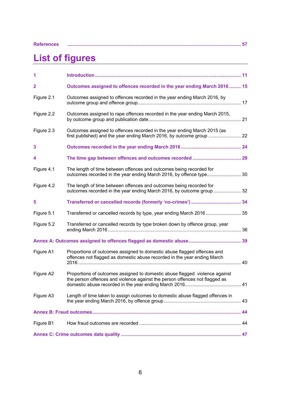| <b>References</b> |  |  |  |
|-------------------|--|--|--|
|                   |  |  |  |

### **References ..................................................................................................................................... 57**

## **List of figures**

| 1              |                                                                                                                                                            |  |
|----------------|------------------------------------------------------------------------------------------------------------------------------------------------------------|--|
| $\overline{2}$ | Outcomes assigned to offences recorded in the year ending March 2016 15                                                                                    |  |
| Figure 2.1     | Outcomes assigned to offences recorded in the year ending March 2016, by                                                                                   |  |
| Figure 2.2     | Outcomes assigned to rape offences recorded in the year ending March 2015,                                                                                 |  |
| Figure 2.3     | Outcomes assigned to offences recorded in the year ending March 2015 (as<br>first published) and the year ending March 2016, by outcome group  22          |  |
| 3              |                                                                                                                                                            |  |
| 4              |                                                                                                                                                            |  |
| Figure 4.1     | The length of time between offences and outcomes being recorded for                                                                                        |  |
| Figure 4.2     | The length of time between offences and outcomes being recorded for<br>outcomes recorded in the year ending March 2016, by outcome group  32               |  |
| 5              |                                                                                                                                                            |  |
| Figure 5.1     | Transferred or cancelled records by type, year ending March 2016 35                                                                                        |  |
| Figure 5.2     | Transferred or cancelled records by type broken down by offence group, year                                                                                |  |
|                |                                                                                                                                                            |  |
| Figure A1      | Proportions of outcomes assigned to domestic abuse flagged offences and<br>offences not flagged as domestic abuse recorded in the year ending March        |  |
| Figure A2      | Proportions of outcomes assigned to domestic abuse flagged violence against<br>the person offences and violence against the person offences not flagged as |  |
| Figure A3      | Length of time taken to assign outcomes to domestic abuse flagged offences in                                                                              |  |
|                |                                                                                                                                                            |  |
| Figure B1      |                                                                                                                                                            |  |
|                |                                                                                                                                                            |  |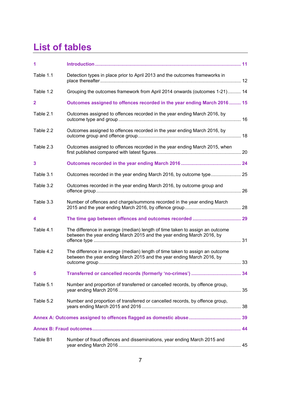## **List of tables**

| 1              |                                                                                                                                                       |  |
|----------------|-------------------------------------------------------------------------------------------------------------------------------------------------------|--|
| Table 1.1      | Detection types in place prior to April 2013 and the outcomes frameworks in                                                                           |  |
| Table 1.2      | Grouping the outcomes framework from April 2014 onwards (outcomes 1-21) 14                                                                            |  |
| $\overline{2}$ | Outcomes assigned to offences recorded in the year ending March 2016 15                                                                               |  |
| Table 2.1      | Outcomes assigned to offences recorded in the year ending March 2016, by                                                                              |  |
| Table 2.2      | Outcomes assigned to offences recorded in the year ending March 2016, by                                                                              |  |
| Table 2.3      | Outcomes assigned to offences recorded in the year ending March 2015, when                                                                            |  |
| 3              |                                                                                                                                                       |  |
| Table 3.1      |                                                                                                                                                       |  |
| Table 3.2      | Outcomes recorded in the year ending March 2016, by outcome group and                                                                                 |  |
| Table 3.3      | Number of offences and charge/summons recorded in the year ending March                                                                               |  |
| 4              |                                                                                                                                                       |  |
| Table 4.1      | The difference in average (median) length of time taken to assign an outcome<br>between the year ending March 2015 and the year ending March 2016, by |  |
| Table 4.2      | The difference in average (median) length of time taken to assign an outcome<br>between the year ending March 2015 and the year ending March 2016, by |  |
| 5              |                                                                                                                                                       |  |
| Table 5.1      | Number and proportion of transferred or cancelled records, by offence group,                                                                          |  |
| Table 5.2      | Number and proportion of transferred or cancelled records, by offence group,                                                                          |  |
|                |                                                                                                                                                       |  |
|                |                                                                                                                                                       |  |
| Table B1       | Number of fraud offences and disseminations, year ending March 2015 and                                                                               |  |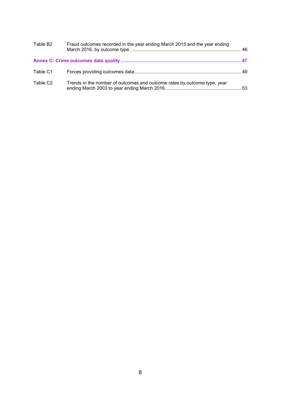| Table B2             | Fraud outcomes recorded in the year ending March 2015 and the year ending |  |
|----------------------|---------------------------------------------------------------------------|--|
|                      |                                                                           |  |
| Table C1             |                                                                           |  |
| Table C <sub>2</sub> | Trends in the number of outcomes and outcome rates by outcome type, year  |  |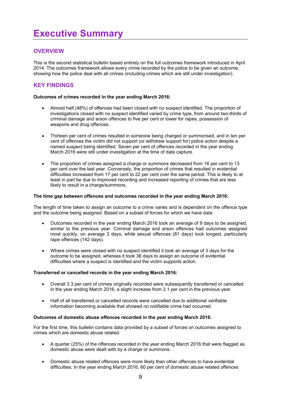## **OVERVIEW**

This is the second statistical bulletin based entirely on the full outcomes framework introduced in April 2014. The outcomes framework allows every crime recorded by the police to be given an outcome, showing how the police deal with all crimes (including crimes which are still under investigation).

## **KEY FINDINGS**

#### **Outcomes of crimes recorded in the year ending March 2016:**

- Almost half (48%) of offences had been closed with no suspect identified. The proportion of investigations closed with no suspect identified varied by crime type, from around two-thirds of criminal damage and arson offences to five per cent or lower for rapes, possession of weapons and drug offences.
- Thirteen per cent of crimes resulted in someone being charged or summonsed, and in ten per cent of offences the victim did not support (or withdrew support for) police action despite a named suspect being identified. Seven per cent of offences recorded in the year ending March 2016 were still under investigation at the time of data capture.
- The proportion of crimes assigned a charge or summons decreased from 16 per cent to 13 per cent over the last year. Conversely, the proportion of crimes that resulted in evidential difficulties increased from 17 per cent to 22 per cent over the same period. This is likely to at least in part be due to improved recording and increased reporting of crimes that are less likely to result in a charge/summons.

#### **The time gap between offences and outcomes recorded in the year ending March 2016:**

The length of time taken to assign an outcome to a crime varies and is dependent on the offence type and the outcome being assigned. Based on a subset of forces for which we have data:

- Outcomes recorded in the year ending March 2016 took an average of 9 days to be assigned, similar to the previous year. Criminal damage and arson offences had outcomes assigned most quickly, on average 3 days, while sexual offences (81 days) took longest, particularly rape offences (142 days).
- Where crimes were closed with no suspect identified it took an average of 3 days for the outcome to be assigned, whereas it took 36 days to assign an outcome of evidential difficulties where a suspect is identified and the victim supports action.

#### **Transferred or cancelled records in the year ending March 2016:**

- Overall 3.3 per cent of crimes originally recorded were subsequently transferred or cancelled in the year ending March 2016, a slight increase from 3.1 per cent in the previous year.
- Half of all transferred or cancelled records were cancelled due to additional verifiable information becoming available that showed no notifiable crime had occurred.

#### **Outcomes of domestic abuse offences recorded in the year ending March 2016:**

For the first time, this bulletin contains data provided by a subset of forces on outcomes assigned to crimes which are domestic abuse related.

- A quarter (25%) of the offences recorded in the year ending March 2016 that were flagged as domestic abuse were dealt with by a charge or summons.
- Domestic abuse related offences were more likely than other offences to have evidential difficulties. In the year ending March 2016, 60 per cent of domestic abuse related offences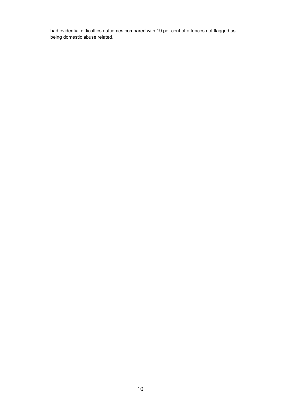had evidential difficulties outcomes compared with 19 per cent of offences not flagged as being domestic abuse related.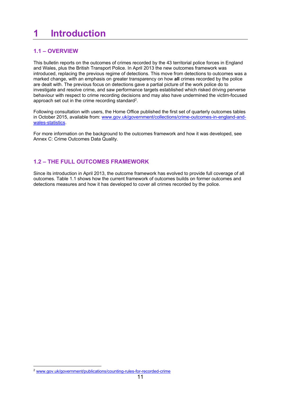## **1 Introduction**

## **1.1 – OVERVIEW**

This bulletin reports on the outcomes of crimes recorded by the 43 territorial police forces in England and Wales, plus the British Transport Police. In April 2013 the new outcomes framework was introduced, replacing the previous regime of detections. This move from detections to outcomes was a marked change, with an emphasis on greater transparency on how **all** crimes recorded by the police are dealt with. The previous focus on detections gave a partial picture of the work police do to investigate and resolve crime, and saw performance targets established which risked driving perverse behaviour with respect to crime recording decisions and may also have undermined the victim-focused approach set out in the crime recording standard<sup>2</sup>.

Following consultation with users, the Home Office published the first set of quarterly outcomes tables in October 2015, available from: www.gov.uk/government/collections/crime-outcomes-in-england-andwales-statistics.

For more information on the background to the outcomes framework and how it was developed, see Annex C: Crime Outcomes Data Quality.

## **1.2 – THE FULL OUTCOMES FRAMEWORK**

Since its introduction in April 2013, the outcome framework has evolved to provide full coverage of all outcomes. Table 1.1 shows how the current framework of outcomes builds on former outcomes and detections measures and how it has developed to cover all crimes recorded by the police.

 <sup>2</sup> www.gov.uk/government/publications/counting-rules-for-recorded-crime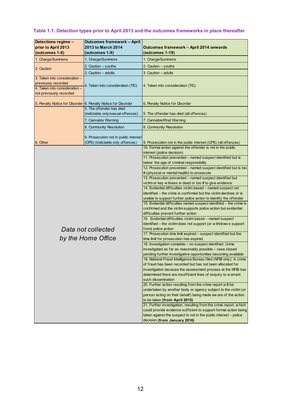## **Table 1.1: Detection types prior to April 2013 and the outcomes frameworks in place thereafter**

| Detections regime -                                                                                              | <b>Outcomes framework - April</b>                             |                                                                                                                                                          |
|------------------------------------------------------------------------------------------------------------------|---------------------------------------------------------------|----------------------------------------------------------------------------------------------------------------------------------------------------------|
| prior to April 2013                                                                                              | 2013 to March 2014                                            | Outcomes framework - April 2014 onwards                                                                                                                  |
| (outcomes 1-6)                                                                                                   | (outcomes 1-9)                                                | (outcomes 1-19)                                                                                                                                          |
| 1. Charge/Summons                                                                                                | 1. Charge/Summons                                             | 1. Charge/Summons                                                                                                                                        |
| 2. Caution                                                                                                       | 2. Caution - youths                                           | 2. Caution - youths                                                                                                                                      |
|                                                                                                                  | 3. Caution - adults                                           | 3. Caution - adults                                                                                                                                      |
| 3. Taken into consideration -<br>previously recorded<br>4. Taken into consideration -<br>not previously recorded | 4. Taken into consideration (TIC)                             | 4. Taken into consideration (TIC)                                                                                                                        |
|                                                                                                                  | 5. Penalty Notice for Disorder 6. Penalty Notice for Disorder | 6. Penalty Notice for Disorder                                                                                                                           |
|                                                                                                                  | 5. The offender has died<br>(indictable only/sexual offences) | 5. The offender has died (all offences)                                                                                                                  |
|                                                                                                                  | 7. Cannabis Warning                                           | 7. Cannabis/Khat Warning                                                                                                                                 |
|                                                                                                                  | 8. Community Resolution                                       | 8. Community Resolution                                                                                                                                  |
|                                                                                                                  | 9. Prosecution not in public interest                         |                                                                                                                                                          |
| 6. Other                                                                                                         | (CPS) (indictable only offences)                              | 9. Prosecution not in the public interest (CPS) (all offences)                                                                                           |
|                                                                                                                  |                                                               | 10. Formal action against the offender is not in the public<br>interest (police decision)<br>11. Prosecution prevented - named suspect identified but is |
|                                                                                                                  |                                                               | below the age of criminal responsibility                                                                                                                 |
|                                                                                                                  |                                                               | 12. Prosecution prevented - named suspect identified but is too                                                                                          |
|                                                                                                                  |                                                               | ill (physical or mental health) to prosecute<br>13. Prosecution prevented - named suspect identified but                                                 |
|                                                                                                                  |                                                               | victim or key witness is dead or too ill to give evidence                                                                                                |
|                                                                                                                  |                                                               | 14. Evidential difficulties victim based - named suspect not                                                                                             |
|                                                                                                                  |                                                               | identified – the crime is confirmed but the victim declines or is                                                                                        |
|                                                                                                                  |                                                               | unable to support further police action to identify the offender                                                                                         |
|                                                                                                                  |                                                               | 15. Evidential difficulties named suspect identified - the crime is<br>confirmed and the victim supports police action but evidential                    |
|                                                                                                                  |                                                               | difficulties prevent further action                                                                                                                      |
|                                                                                                                  |                                                               | 16. Evidential difficulties victim based - named suspect                                                                                                 |
|                                                                                                                  |                                                               | identified - the victim does not support (or withdraws support                                                                                           |
|                                                                                                                  | Data not collected                                            | from) police action<br>17. Prosecution time limit expired - suspect identified but the                                                                   |
|                                                                                                                  | by the Home Office                                            | time limit for prosecution has expired                                                                                                                   |
|                                                                                                                  |                                                               | 18. Investigation complete - no suspect identified. Crime                                                                                                |
|                                                                                                                  |                                                               | investigated as far as reasonably possible - case closed                                                                                                 |
|                                                                                                                  |                                                               | pending further investigative opportunities becoming available                                                                                           |
|                                                                                                                  |                                                               | 19. National Fraud Intelligence Bureau filed (NFIB only). A crime<br>of fraud has been recorded but has not been allocated for                           |
|                                                                                                                  |                                                               | investigation because the assessment process at the NFIB has                                                                                             |
|                                                                                                                  |                                                               | determined there are insufficient lines of enquiry to w arrant                                                                                           |
|                                                                                                                  |                                                               | such dissemination                                                                                                                                       |
|                                                                                                                  |                                                               | 20. Further action resulting from the crime report will be                                                                                               |
|                                                                                                                  |                                                               | undertaken by another body or agency subject to the victim (or                                                                                           |
|                                                                                                                  |                                                               | person acting on their behalf) being made aw are of the action<br>to be taken (from April 2015)                                                          |
|                                                                                                                  |                                                               | 21. Further investigation, resulting from the crime report, which                                                                                        |
|                                                                                                                  |                                                               | could provide evidence sufficient to support formal action being                                                                                         |
|                                                                                                                  |                                                               | taken against the suspect is not in the public interest – police                                                                                         |
|                                                                                                                  |                                                               | decision (from January 2016)                                                                                                                             |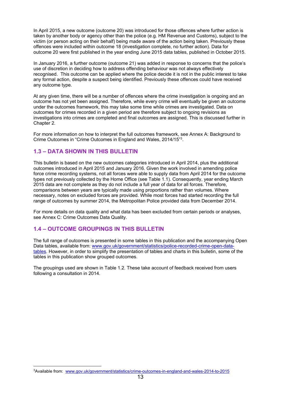In April 2015, a new outcome (outcome 20) was introduced for those offences where further action is taken by another body or agency other than the police (e.g. HM Revenue and Customs), subject to the victim (or person acting on their behalf) being made aware of the action being taken. Previously these offences were included within outcome 18 (investigation complete, no further action). Data for outcome 20 were first published in the year ending June 2015 data tables, published in October 2015.

In January 2016, a further outcome (outcome 21) was added in response to concerns that the police's use of discretion in deciding how to address offending behaviour was not always effectively recognised. This outcome can be applied where the police decide it is not in the public interest to take any formal action, despite a suspect being identified. Previously these offences could have received any outcome type.

At any given time, there will be a number of offences where the crime investigation is ongoing and an outcome has not yet been assigned. Therefore, while every crime will eventually be given an outcome under the outcomes framework, this may take some time while crimes are investigated. Data on outcomes for crimes recorded in a given period are therefore subject to ongoing revisions as investigations into crimes are completed and final outcomes are assigned. This is discussed further in Chapter 2.

For more information on how to interpret the full outcomes framework, see Annex A: Background to Crime Outcomes in "Crime Outcomes in England and Wales, 2014/15"3.

#### **1.3 – DATA SHOWN IN THIS BULLETIN**

This bulletin is based on the new outcomes categories introduced in April 2014, plus the additional outcomes introduced in April 2015 and January 2016. Given the work involved in amending police force crime recording systems, not all forces were able to supply data from April 2014 for the outcome types not previously collected by the Home Office (see Table 1.1). Consequently, year ending March 2015 data are not complete as they do not include a full year of data for all forces. Therefore, comparisons between years are typically made using proportions rather than volumes. Where necessary, notes on excluded forces are provided. While most forces had started recording the full range of outcomes by summer 2014, the Metropolitan Police provided data from December 2014.

For more details on data quality and what data has been excluded from certain periods or analyses, see Annex C: Crime Outcomes Data Quality.

#### **1.4 – OUTCOME GROUPINGS IN THIS BULLETIN**

 

The full range of outcomes is presented in some tables in this publication and the accompanying Open Data tables, available from: [www.gov.uk/government/statistics/police-recorded-crime-open-data](https://www.gov.uk/government/statistics/police-recorded-crime-open-datatables)[tables.](https://www.gov.uk/government/statistics/police-recorded-crime-open-datatables) However, in order to simplify the presentation of tables and charts in this bulletin, some of the tables in this publication show grouped outcomes.

The groupings used are shown in Table 1.2. These take account of feedback received from users following a consultation in 2014.

<sup>3</sup>Available from: www.gov.uk/government/statistics/crime-outcomes-in-england-and-wales-2014-to-2015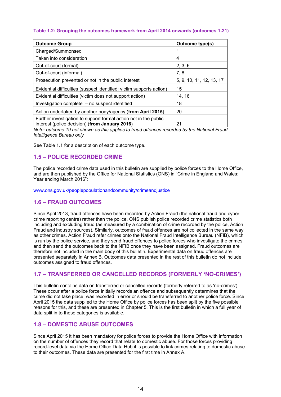#### **Table 1.2: Grouping the outcomes framework from April 2014 onwards (outcomes 1-21)**

| <b>Outcome Group</b>                                                                                               | <b>Outcome type(s)</b>   |
|--------------------------------------------------------------------------------------------------------------------|--------------------------|
| Charged/Summonsed                                                                                                  |                          |
| Taken into consideration                                                                                           | 4                        |
| Out-of-court (formal)                                                                                              | 2, 3, 6                  |
| Out-of-court (informal)                                                                                            | 7, 8                     |
| Prosecution prevented or not in the public interest                                                                | 5, 9, 10, 11, 12, 13, 17 |
| Evidential difficulties (suspect identified; victim supports action)                                               | 15                       |
| Evidential difficulties (victim does not support action)                                                           | 14, 16                   |
| Investigation complete – no suspect identified                                                                     | 18                       |
| Action undertaken by another body/agency (from April 2015)                                                         | 20                       |
| Further investigation to support formal action not in the public<br>interest (police decision) (from January 2016) | 21                       |

*Note: outcome 19 not shown as this applies to fraud offences recorded by the National Fraud Intelligence Bureau only* 

See Table 1.1 for a description of each outcome type.

#### **1.5 – POLICE RECORDED CRIME**

The police recorded crime data used in this bulletin are supplied by police forces to the Home Office, and are then published by the Office for National Statistics (ONS) in "Crime in England and Wales: Year ending March 2016":

www.ons.gov.uk/peoplepopulationandcommunity/crimeandjustice

#### **1.6 – FRAUD OUTCOMES**

Since April 2013, fraud offences have been recorded by Action Fraud (the national fraud and cyber crime reporting centre) rather than the police. ONS publish police recorded crime statistics both including and excluding fraud (as measured by a combination of crime recorded by the police, Action Fraud and industry sources). Similarly, outcomes of fraud offences are not collected in the same way as other crimes. Action Fraud refer crimes onto the National Fraud Intelligence Bureau (NFIB), which is run by the police service, and they send fraud offences to police forces who investigate the crimes and then send the outcomes back to the NFIB once they have been assigned. Fraud outcomes are therefore not included in the main body of this bulletin. Experimental data on fraud offences are presented separately in Annex B. Outcomes data presented in the rest of this bulletin do not include outcomes assigned to fraud offences.

#### **1.7 – TRANSFERRED OR CANCELLED RECORDS (FORMERLY 'NO-CRIMES')**

This bulletin contains data on transferred or cancelled records (formerly referred to as 'no-crimes'). These occur after a police force initially records an offence and subsequently determines that the crime did not take place, was recorded in error or should be transferred to another police force. Since April 2015 the data supplied to the Home Office by police forces has been split by the five possible reasons for this, and these are presented in Chapter 5. This is the first bulletin in which a full year of data split in to these categories is available.

#### **1.8 – DOMESTIC ABUSE OUTCOMES**

Since April 2015 it has been mandatory for police forces to provide the Home Office with information on the number of offences they record that relate to domestic abuse. For those forces providing record-level data via the Home Office Data Hub it is possible to link crimes relating to domestic abuse to their outcomes. These data are presented for the first time in Annex A.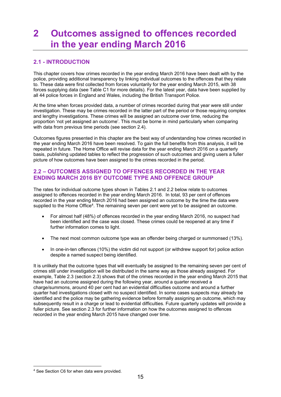## **2 Outcomes assigned to offences recorded in the year ending March 2016**

## **2.1 - INTRODUCTION**

This chapter covers how crimes recorded in the year ending March 2016 have been dealt with by the police, providing additional transparency by linking individual outcomes to the offences that they relate to. These data were first collected from forces voluntarily for the year ending March 2015, with 38 forces supplying data (see Table C1 for more details). For the latest year, data have been supplied by all 44 police forces in England and Wales, including the British Transport Police.

At the time when forces provided data, a number of crimes recorded during that year were still under investigation. These may be crimes recorded in the latter part of the period or those requiring complex and lengthy investigations. These crimes will be assigned an outcome over time, reducing the proportion 'not yet assigned an outcome'. This must be borne in mind particularly when comparing with data from previous time periods (see section 2.4).

Outcomes figures presented in this chapter are the best way of understanding how crimes recorded in the year ending March 2016 have been resolved. To gain the full benefits from this analysis, it will be repeated in future. The Home Office will revise data for the year ending March 2016 on a quarterly basis, publishing updated tables to reflect the progression of such outcomes and giving users a fuller picture of how outcomes have been assigned to the crimes recorded in the period.

### **2.2 – OUTCOMES ASSIGNED TO OFFENCES RECORDED IN THE YEAR ENDING MARCH 2016 BY OUTCOME TYPE AND OFFENCE GROUP**

The rates for individual outcome types shown in Tables 2.1 and 2.2 below relate to outcomes assigned to offences recorded in the year ending March 2016. In total, 93 per cent of offences recorded in the year ending March 2016 had been assigned an outcome by the time the data were supplied to the Home Office<sup>4</sup>. The remaining seven per cent were yet to be assigned an outcome.

- For almost half (48%) of offences recorded in the year ending March 2016, no suspect had been identified and the case was closed. These crimes could be reopened at any time if further information comes to light.
- The next most common outcome type was an offender being charged or summonsed (13%).
- In one-in-ten offences (10%) the victim did not support (or withdrew support for) police action despite a named suspect being identified.

It is unlikely that the outcome types that will eventually be assigned to the remaining seven per cent of crimes still under investigation will be distributed in the same way as those already assigned. For example, Table 2.3 (section 2.3) shows that of the crimes recorded in the year ending March 2015 that have had an outcome assigned during the following year, around a quarter received a charge/summons, around 40 per cent had an evidential difficulties outcome and around a further quarter had investigations closed with no suspect identified. In some cases suspects may already be identified and the police may be gathering evidence before formally assigning an outcome, which may subsequently result in a charge or lead to evidential difficulties. Future quarterly updates will provide a fuller picture. See section 2.3 for further information on how the outcomes assigned to offences recorded in the year ending March 2015 have changed over time.

 4 See Section C6 for when data were provided.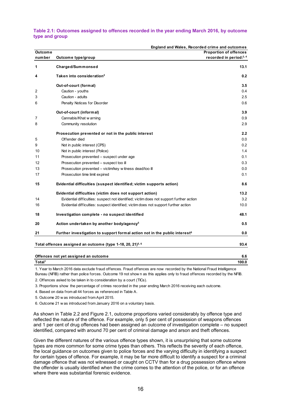#### **Table 2.1: Outcomes assigned to offences recorded in the year ending March 2016, by outcome type and group**

|                    | England and Wales, Recorded crime and outcomes                                          |                               |
|--------------------|-----------------------------------------------------------------------------------------|-------------------------------|
| <b>Outcome</b>     |                                                                                         | <b>Proportion of offences</b> |
| number             | Outcome type/group                                                                      | recorded in period:3, 4       |
| 1                  | Charged/Summonsed                                                                       | 13.1                          |
| 4                  | Taken into consideration <sup>2</sup>                                                   | 0.2                           |
|                    | Out-of-court (formal)                                                                   | 3.5                           |
| 2                  | Caution - youths                                                                        | 0.4                           |
| 3                  | Caution - adults                                                                        | 2.5                           |
| 6                  | Penalty Notices for Disorder                                                            | 0.6                           |
|                    | Out-of-court (informal)                                                                 | 3.9                           |
| 7                  | Cannabis/Khat w arning                                                                  | 0.9                           |
| 8                  | Community resolution                                                                    | 2.9                           |
|                    | Prosecution prevented or not in the public interest                                     | 2.2                           |
| 5                  | Offender died                                                                           | 0.0                           |
| 9                  | Not in public interest (CPS)                                                            | 0.2                           |
| 10                 | Not in public interest (Police)                                                         | 1.4                           |
| 11                 | Prosecution prevented – suspect under age                                               | 0.1                           |
| 12                 | Prosecution prevented - suspect too ill                                                 | 0.3                           |
| 13                 | Prosecution prevented - victim/key w itness dead/too ill                                | 0.0                           |
| 17                 | Prosecution time limit expired                                                          | 0.1                           |
| 15                 | Evidential difficulties (suspect identified; victim supports action)                    | 8.6                           |
|                    | Evidential difficulties (victim does not support action)                                | 13.2                          |
| 14                 | Evidential difficulties: suspect not identified; victim does not support further action | 3.2                           |
| 16                 | Evidential difficulties: suspect identified; victim does not support further action     | 10.0                          |
| 18                 | Investigation complete - no suspect identified                                          | 48.1                          |
| 20                 | Action undertaken by another body/agency <sup>5</sup>                                   | 0.5                           |
| 21                 | Further investigation to support formal action not in the public interest <sup>6</sup>  | 0.0                           |
|                    | Total offences assigned an outcome (type 1-18, 20, 21) <sup>5, 6</sup>                  | 93.4                          |
|                    | Offences not yet assigned an outcome                                                    | 6.6                           |
| Total <sup>1</sup> |                                                                                         | 100.0                         |
|                    |                                                                                         |                               |

1. Year to March 2016 data exclude fraud offences. Fraud offences are now recorded by the National Fraud Intelligence Bureau (NFIB) rather than police forces. Outcome 19 not show n as this applies only to fraud offences recorded by the NFIB.

2. Offences asked to be taken in to consideration by a court (TICs).

3. Proportions show the percentage of crimes recorded in the year ending March 2016 receiving each outcome.

4. Based on data from all 44 forces as referenced in Table A.

5. Outcome 20 w as introduced from April 2015.

6. Outcome 21 w as introduced from January 2016 on a voluntary basis.

As shown in Table 2.2 and Figure 2.1, outcome proportions varied considerably by offence type and reflected the nature of the offence. For example, only 5 per cent of possession of weapons offences and 1 per cent of drug offences had been assigned an outcome of investigation complete – no suspect identified, compared with around 70 per cent of criminal damage and arson and theft offences.

Given the different natures of the various offence types shown, it is unsurprising that some outcome types are more common for some crime types than others. This reflects the severity of each offence, the local guidance on outcomes given to police forces and the varying difficulty in identifying a suspect for certain types of offence. For example, it may be far more difficult to identify a suspect for a criminal damage offence that was not witnessed or caught on CCTV than for a drug possession offence where the offender is usually identified when the crime comes to the attention of the police, or for an offence where there was substantial forensic evidence.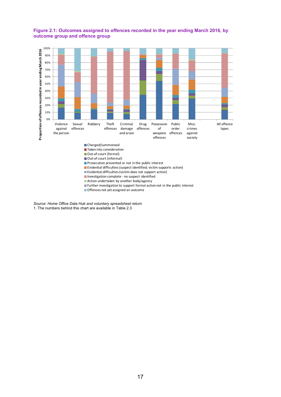

#### **Figure 2.1: Outcomes assigned to offences recorded in the year ending March 2016, by outcome group and offence group**

**E**vidential difficulties (suspect identified; victim supports action)

**Evidential difficulties (victim does not support action)** 

Investigation complete - no suspect identified

**Action undertaken by another body/agency** 

 $\blacksquare$  Further investigation to support formal action not in the public interest

**Offences not yet assigned an outcome** 

*Source: Home Office Data Hub and voluntary spreadsheet return* 1. The numbers behind this chart are available in Table 2.3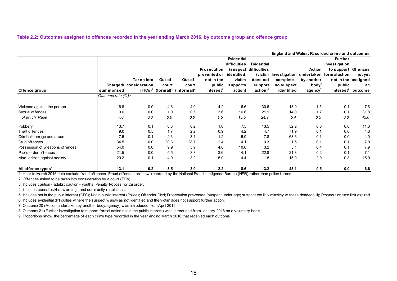#### **Table 2.2: Outcomes assigned to offences recorded in the year ending March 2016, by outcome group and offence group**

|                                |                               |                        |         |                                                          |                       |                   |                       |            |                     | England and Wales, Recorded crime and outcomes |                     |
|--------------------------------|-------------------------------|------------------------|---------|----------------------------------------------------------|-----------------------|-------------------|-----------------------|------------|---------------------|------------------------------------------------|---------------------|
|                                |                               |                        |         |                                                          |                       | <b>Evidential</b> |                       |            |                     | <b>Further</b>                                 |                     |
|                                |                               |                        |         |                                                          |                       | difficulties      | <b>Evidential</b>     |            |                     | investigation                                  |                     |
|                                |                               |                        |         |                                                          | <b>Prosecution</b>    |                   | (suspect difficulties |            | <b>Action</b>       | to support Offences                            |                     |
|                                |                               |                        |         |                                                          | prevented or          | identified;       |                       |            |                     | (victim Investigation undertaken formal action | not yet             |
|                                |                               | Taken into             | Out-of- | Out-of-                                                  | not in the            | victim            | does not              | complete - | by another          |                                                | not in the assigned |
|                                |                               | Charged/ consideration | court   | court                                                    | public                | supports          | support               | no suspect | body/               | public                                         | an                  |
| Offence group                  | summonsed                     |                        |         | $(TICs)^2$ (formal) <sup>3</sup> (informal) <sup>4</sup> | interest <sup>5</sup> | action)           | action) <sup>6</sup>  | identified | agency <sup>7</sup> | interest <sup>8</sup>                          | outcome             |
|                                | Outcome rate (%) <sup>9</sup> |                        |         |                                                          |                       |                   |                       |            |                     |                                                |                     |
| Violence against the person    | 16.8                          | 0.0                    | 4.6     | 4.0                                                      | 4.2                   | 16.6              | 30.6                  | 13.9       | 1.5                 | 0.1                                            | 7.6                 |
| Sexual offences                | 9.6                           | 0.0                    | 1.0     | 0.5                                                      | 3.6                   | 16.6              | 21.1                  | 14.0       | 1.7                 | 0.1                                            | 31.8                |
| of which: Rape                 | 7.0                           | 0.0                    | 0.0     | 0.0                                                      | 1.5                   | 15.5              | 24.9                  | 5.4        | 0.5                 | 0.0                                            | 45.0                |
| Robbery                        | 13.7                          | 0.1                    | 0.3     | 0.2                                                      | 1.0                   | 7.5               | 13.5                  | 52.2       | 0.0                 | 0.0                                            | 11.6                |
| Theft offences                 | 9.0                           | 0.5                    | 1.7     | 2.2                                                      | 0.9                   | 4.2               | 4.7                   | 71.9       | 0.1                 | 0.0                                            | 4.6                 |
| Criminal damage and arson      | 7.5                           | 0.1                    | 2.6     | 3.1                                                      | 1.2                   | 5.0               | 7.8                   | 68.6       | 0.1                 | 0.0                                            | 4.0                 |
| Drug offences                  | 34.5                          | 0.0                    | 20.3    | 28.7                                                     | 2.4                   | 4.1               | 0.3                   | 1.5        | 0.1                 | 0.1                                            | 7.9                 |
| Possession of weapons offences | 54.0                          | 0.0                    | 9.9     | 3.9                                                      | 4.8                   | 10.6              | 3.2                   | 5.1        | 0.4                 | 0.1                                            | 7.9                 |
| Public order offences          | 21.5                          | 0.0                    | 5.5     | 3.8                                                      | 3.6                   | 14.1              | 22.8                  | 21.3       | 0.2                 | 0.1                                            | 7.1                 |
| Misc. crimes against society   | 29.2                          | 0.1                    | 4.0     | 3.2                                                      | 5.0                   | 14.4              | 11.8                  | 15.0       | 2.0                 | 0.3                                            | 15.0                |
| All offence types <sup>1</sup> | 13.1                          | 0.2                    | 3.5     | 3.9                                                      | 2.2                   | 8.6               | 13.2                  | 48.1       | 0.5                 | 0.0                                            | 6.6                 |

1. Year to March 2016 data exclude fraud offences. Fraud offences are now recorded by the National Fraud Intelligence Bureau (NFIB) rather than police forces.

2. Offences asked to be taken into consideration by a court (TICs).

3. Includes caution - adults; caution - youths; Penalty Notices for Disorder.

4. Includes cannabis/khat w arnings and community resolutions.

5. Includes not in the public interest (CPS); Not in public interest (Police); Offender Died; Prosecution prevented (suspect under age; suspect too ill; victim/key w itness dead/too ill); Prosecution time limit expired.

6. Includes evidential difficulties w here the suspect w as/w as not identified and the victim does not support further action.

7. Outcome 20 (Action undertaken by another body/agency) w as introduced from April 2015.

8. Outcome 21 (Further investigation to support formal action not in the public interest) w as introduced from January 2016 on a voluntary basis.

9. Proportions show the percentage of each crime type recorded in the year ending March 2016 that received each outcome.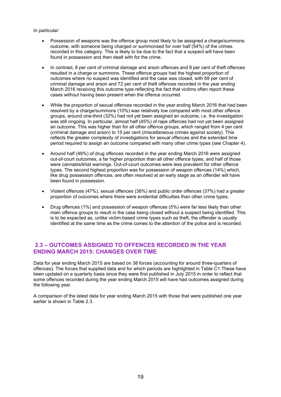In particular:

- Possession of weapons was the offence group most likely to be assigned a charge/summons outcome, with someone being charged or summonsed for over half (54%) of the crimes recorded in this category. This is likely to be due to the fact that a suspect will have been found in possession and then dealt with for the crime.
- In contrast, 8 per cent of criminal damage and arson offences and 9 per cent of theft offences resulted in a charge or summons. These offence groups had the highest proportion of outcomes where no suspect was identified and the case was closed, with 69 per cent of criminal damage and arson and 72 per cent of theft offences recorded in the year ending March 2016 receiving this outcome type reflecting the fact that victims often report these cases without having been present when the offence occurred.
- While the proportion of sexual offences recorded in the year ending March 2016 that had been resolved by a charge/summons (10%) was relatively low compared with most other offence groups, around one-third (32%) had not yet been assigned an outcome, i.e. the investigation was still ongoing. In particular, almost half (45%) of rape offences had not yet been assigned an outcome. This was higher than for all other offence groups, which ranged from 4 per cent (criminal damage and arson) to 15 per cent (miscellaneous crimes against society). This reflects the greater complexity of investigations for sexual offences and the extended time period required to assign an outcome compared with many other crime types (see Chapter 4).
- Around half (49%) of drug offences recorded in the year ending March 2016 were assigned out-of-court outcomes, a far higher proportion than all other offence types, and half of those were cannabis/khat warnings. Out-of-court outcomes were less prevalent for other offence types. The second highest proportion was for possession of weapon offences (14%) which, like drug possession offences, are often resolved at an early stage as an offender will have been found in possession.
- Violent offences (47%), sexual offences (38%) and public order offences (37%) had a greater proportion of outcomes where there were evidential difficulties than other crime types.
- Drug offences (1%) and possession of weapon offences (5%) were far less likely than other main offence groups to result in the case being closed without a suspect being identified. This is to be expected as, unlike victim-based crime types such as theft, the offender is usually identified at the same time as the crime comes to the attention of the police and is recorded.

### **2.3 – OUTCOMES ASSIGNED TO OFFENCES RECORDED IN THE YEAR ENDING MARCH 2015: CHANGES OVER TIME**

Data for year ending March 2015 are based on 38 forces (accounting for around three-quarters of offences). The forces that supplied data and for which periods are highlighted in Table C1.These have been updated on a quarterly basis since they were first published in July 2015 in order to reflect that some offences recorded during the year ending March 2015 will have had outcomes assigned during the following year.

A comparison of the latest data for year ending March 2015 with those that were published one year earlier is shown in Table 2.3.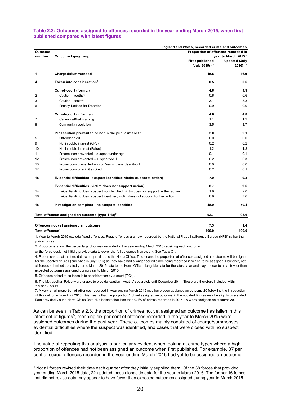#### **Table 2.3: Outcomes assigned to offences recorded in the year ending March 2015, when first published compared with latest figures**

|                             | England and Wales, Recorded crime and outcomes                                          |                                    |                      |  |  |
|-----------------------------|-----------------------------------------------------------------------------------------|------------------------------------|----------------------|--|--|
| Outcome                     |                                                                                         | Proportion of offences recorded in |                      |  |  |
| number                      | Outcome type/group                                                                      |                                    | year to March 2015:2 |  |  |
|                             |                                                                                         | <b>First published</b>             | <b>Updated (July</b> |  |  |
|                             |                                                                                         | (July 2015) <sup>3, 4</sup>        | $2016)^{3,4}$        |  |  |
| 1                           | Charged/Summonsed                                                                       | 15.5                               | 16.9                 |  |  |
| 4                           | Taken into consideration <sup>5</sup>                                                   | 0.5                                | 0.6                  |  |  |
|                             | Out-of-court (formal)                                                                   | 4.6                                | 4.8                  |  |  |
| 2                           | Caution - youths <sup>6</sup>                                                           | 0.6                                | 0.6                  |  |  |
| 3                           | Caution - adults $6$                                                                    | 3.1                                | 3.3                  |  |  |
| 6                           | Penalty Notices for Disorder                                                            | 0.9                                | 0.9                  |  |  |
|                             | Out-of-court (informal)                                                                 | 4.6                                | 4.8                  |  |  |
| 7                           | Cannabis/Khat w arning                                                                  | 1.1                                | 1.2                  |  |  |
| 8                           | Community resolution                                                                    | 3.5                                | 3.7                  |  |  |
|                             | Prosecution prevented or not in the public interest                                     | 2.0                                | 2.1                  |  |  |
| 5                           | Offender died                                                                           | 0.0                                | 0.0                  |  |  |
| 9                           | Not in public interest (CPS)                                                            | 0.2                                | 0.2                  |  |  |
| 10                          | Not in public interest (Police)                                                         | 1.2                                | 1.3                  |  |  |
| 11                          | Prosecution prevented - suspect under age                                               | 0.1                                | 0.1                  |  |  |
| 12                          | Prosecution prevented - suspect too ill                                                 | 0.2                                | 0.3                  |  |  |
| 13                          | Prosecution prevented - victim/key w itness dead/too ill                                | 0.0                                | 0.0                  |  |  |
| 17                          | Prosecution time limit expired                                                          | 0.2                                | 0.1                  |  |  |
| 15                          | Evidential difficulties (suspect identified; victim supports action)                    | 7.9                                | 9.3                  |  |  |
|                             | Evidential difficulties (victim does not support action)                                | 8.7                                | 9.6                  |  |  |
| 14                          | Evidential difficulties: suspect not identified; victim does not support further action | 1.9                                | 2.0                  |  |  |
| 16                          | Evidential difficulties: suspect identified; victim does not support further action     | 6.9                                | 7.6                  |  |  |
| 18                          | Investigation complete - no suspect identified                                          | 48.9                               | 50.4                 |  |  |
|                             | Total offences assigned an outcome (type 1-18)7                                         | 92.7                               | 98.6                 |  |  |
|                             | Offences not yet assigned an outcome                                                    | 7.3                                | 1.4                  |  |  |
| Total offences <sup>1</sup> |                                                                                         | 100.0                              | 100.0                |  |  |

1. Year to March 2015 exclude fraud offences. Fraud offences are now recorded by the National Fraud Intelligence Bureau (NFIB) rather than police forces.

2. Proportions show the percentage of crimes recorded in the year ending March 2015 receiving each outcome.

or the force could not initially provide data to cover the full outcomes framew ork. See Table C1.

4. Proportions as at the time data w ere provided to the Home Office. This means the proportion of offences assigned an outcome w ill be higher for the updated figures (published in July 2016) as they have had a longer period since being recorded in w hich to be assigned. How ever, not all forces submitted updated year to March 2015 data to the Home Office alongside data for the latest year and may appear to have few er than expected outcomes assigned during year to March 2015.

5. Offences asked to be taken in to consideration by a court (TICs).

 

6. The Metropolitan Police w ere unable to provide 'caution - youths' separately until December 2014. These are therefore included w ithin 'caution - adults'.

7. A very small proportion of offences recorded in year ending March 2015 may have been assigned an outcome 20 follow ing the introduction of this outcome from April 2015. This means that the proportion 'not yet assigned an outcome' in the updated figures may be slightly overstated. Data provided via the Home Office Data Hub indicate that less than 0.1% of crimes recorded in 2014-15 w ere assigned an outcome 20.

As can be seen in Table 2.3, the proportion of crimes not yet assigned an outcome has fallen in this latest set of figures<sup>5</sup>, meaning six per cent of offences recorded in the year to March 2015 were assigned outcomes during the past year. These outcomes mainly consisted of charge/summonses, evidential difficulties where the suspect was identified, and cases that were closed with no suspect identified.

The value of repeating this analysis is particularly evident when looking at crime types where a high proportion of offences had not been assigned an outcome when first published. For example, 37 per cent of sexual offences recorded in the year ending March 2015 had yet to be assigned an outcome

<sup>5</sup> Not all forces revised their data each quarter after they initially supplied them. Of the 38 forces that provided year ending March 2015 data, 22 updated these alongside data for the year to March 2016. The further 16 forces that did not revise data may appear to have fewer than expected outcomes assigned during year to March 2015.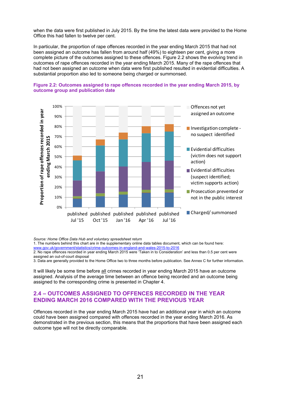when the data were first published in July 2015. By the time the latest data were provided to the Home Office this had fallen to twelve per cent.

In particular, the proportion of rape offences recorded in the year ending March 2015 that had not been assigned an outcome has fallen from around half (49%) to eighteen per cent, giving a more complete picture of the outcomes assigned to these offences. Figure 2.2 shows the evolving trend in outcomes of rape offences recorded in the year ending March 2015. Many of the rape offences that had not been assigned an outcome when data were first published resulted in evidential difficulties. A substantial proportion also led to someone being charged or summonsed.



#### **Figure 2.2: Outcomes assigned to rape offences recorded in the year ending March 2015, by outcome group and publication date**

*Source: Home Office Data Hub and voluntary spreadsheet return*

1. The numbers behind this chart are in the supplementary online data tables document, which can be found here: www.gov.uk/government/statistics/crime-outcomes-in-england-and-wales-2015-to-2016

2. No rape offences recorded in year ending March 2015 were 'Taken in to Consideration' and less than 0.5 per cent were assigned an out-of-court disposal

3. Data are generally provided to the Home Office two to three months before publication. See Annex C for further information.

It will likely be some time before all crimes recorded in year ending March 2015 have an outcome assigned. Analysis of the average time between an offence being recorded and an outcome being assigned to the corresponding crime is presented in Chapter 4.

### **2.4 – OUTCOMES ASSIGNED TO OFFENCES RECORDED IN THE YEAR ENDING MARCH 2016 COMPARED WITH THE PREVIOUS YEAR**

Offences recorded in the year ending March 2015 have had an additional year in which an outcome could have been assigned compared with offences recorded in the year ending March 2016. As demonstrated in the previous section, this means that the proportions that have been assigned each outcome type will not be directly comparable.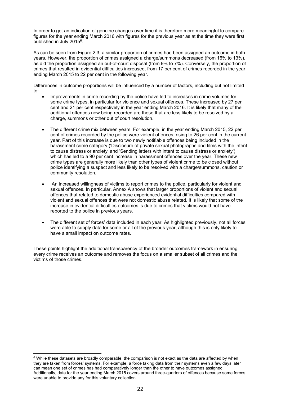In order to get an indication of genuine changes over time it is therefore more meaningful to compare figures for the year ending March 2016 with figures for the previous year as at the time they were first published in July 2015<sup>6</sup>.

As can be seen from Figure 2.3, a similar proportion of crimes had been assigned an outcome in both years. However, the proportion of crimes assigned a charge/summons decreased (from 16% to 13%), as did the proportion assigned an out-of-court disposal (from 9% to 7%). Conversely, the proportion of crimes that resulted in evidential difficulties increased, from 17 per cent of crimes recorded in the year ending March 2015 to 22 per cent in the following year.

Differences in outcome proportions will be influenced by a number of factors, including but not limited to:

- Improvements in crime recording by the police have led to increases in crime volumes for some crime types, in particular for violence and sexual offences. These increased by 27 per cent and 21 per cent respectively in the year ending March 2016. It is likely that many of the additional offences now being recorded are those that are less likely to be resolved by a charge, summons or other out of court resolution.
- The different crime mix between years. For example, in the year ending March 2015, 22 per cent of crimes recorded by the police were violent offences, rising to 26 per cent in the current year. Part of this increase is due to two newly notifiable offences being included in the harassment crime category ('Disclosure of private sexual photographs and films with the intent to cause distress or anxiety' and 'Sending letters with intent to cause distress or anxiety') which has led to a 90 per cent increase in harassment offences over the year. These new crime types are generally more likely than other types of violent crime to be closed without police identifying a suspect and less likely to be resolved with a charge/summons, caution or community resolution.
- An increased willingness of victims to report crimes to the police, particularly for violent and sexual offences. In particular, Annex A shows that larger proportions of violent and sexual offences that related to domestic abuse experienced evidential difficulties compared with violent and sexual offences that were not domestic abuse related. It is likely that some of the increase in evidential difficulties outcomes is due to crimes that victims would not have reported to the police in previous years.
- The different set of forces' data included in each year. As highlighted previously, not all forces were able to supply data for some or all of the previous year, although this is only likely to have a small impact on outcome rates.

These points highlight the additional transparency of the broader outcomes framework in ensuring every crime receives an outcome and removes the focus on a smaller subset of all crimes and the victims of those crimes.

 

<sup>&</sup>lt;sup>6</sup> While these datasets are broadly comparable, the comparison is not exact as the data are affected by when they are taken from forces' systems. For example, a force taking data from their systems even a few days later can mean one set of crimes has had comparatively longer than the other to have outcomes assigned. Additionally, data for the year ending March 2015 covers around three-quarters of offences because some forces were unable to provide any for this voluntary collection.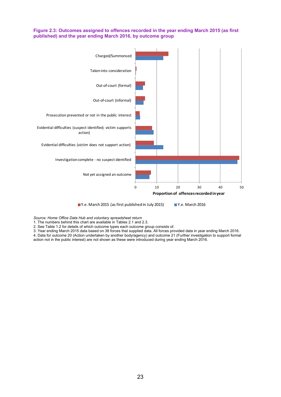#### **Figure 2.3: Outcomes assigned to offences recorded in the year ending March 2015 (as first published) and the year ending March 2016, by outcome group**



■ Y.e. March 2015 (as first published in July 2015) ■ Y.e. March 2016

*Source: Home Office Data Hub and voluntary spreadsheet return*

1. The numbers behind this chart are available in Tables 2.1 and 2.3.

2. See Table 1.2 for details of which outcome types each outcome group consists of.

3. Year ending March 2015 data based on 38 forces that supplied data. All forces provided data in year ending March 2016. 4. Data for outcome 20 (Action undertaken by another body/agency) and outcome 21 (Further investigation to support formal

action not in the public interest) are not shown as these were introduced during year ending March 2016.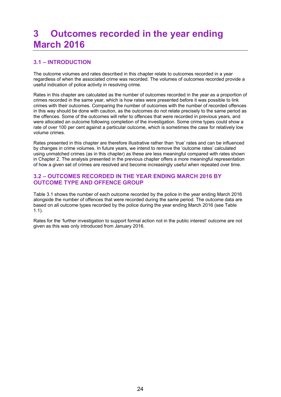## **3 Outcomes recorded in the year ending March 2016**

## **3.1 – INTRODUCTION**

The outcome volumes and rates described in this chapter relate to outcomes recorded in a year regardless of when the associated crime was recorded. The volumes of outcomes recorded provide a useful indication of police activity in resolving crime.

Rates in this chapter are calculated as the number of outcomes recorded in the year as a proportion of crimes recorded in the same year, which is how rates were presented before it was possible to link crimes with their outcomes. Comparing the number of outcomes with the number of recorded offences in this way should be done with caution, as the outcomes do not relate precisely to the same period as the offences. Some of the outcomes will refer to offences that were recorded in previous years, and were allocated an outcome following completion of the investigation. Some crime types could show a rate of over 100 per cent against a particular outcome, which is sometimes the case for relatively low volume crimes.

Rates presented in this chapter are therefore illustrative rather than 'true' rates and can be influenced by changes in crime volumes. In future years, we intend to remove the 'outcome rates' calculated using unmatched crimes (as in this chapter) as these are less meaningful compared with rates shown in Chapter 2. The analysis presented in the previous chapter offers a more meaningful representation of how a given set of crimes are resolved and become increasingly useful when repeated over time.

#### **3.2 – OUTCOMES RECORDED IN THE YEAR ENDING MARCH 2016 BY OUTCOME TYPE AND OFFENCE GROUP**

Table 3.1 shows the number of each outcome recorded by the police in the year ending March 2016 alongside the number of offences that were recorded during the same period. The outcome data are based on all outcome types recorded by the police during the year ending March 2016 (see Table 1.1).

Rates for the 'further investigation to support formal action not in the public interest' outcome are not given as this was only introduced from January 2016.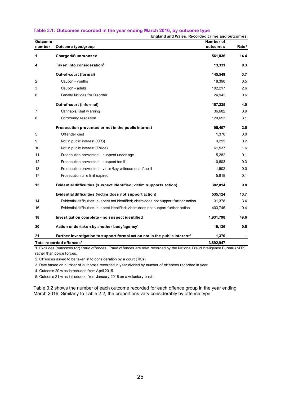| <b>Outcome</b><br>number | England and Wales, Recorded crime and outcomes<br>Outcome type/group                    | Number of<br>outcomes | Rate <sup>3</sup> |
|--------------------------|-----------------------------------------------------------------------------------------|-----------------------|-------------------|
| 1                        | Charged/Summonsed                                                                       | 561,836               | 14.4              |
| 4                        | Taken into consideration <sup>2</sup>                                                   | 13,331                | 0.3               |
|                          | Out-of-court (formal)                                                                   | 145,549               | 3.7               |
| 2                        | Caution - youths                                                                        | 18,390                | 0.5               |
| 3                        | Caution - adults                                                                        | 102,217               | 2.6               |
| 6                        | Penalty Notices for Disorder                                                            | 24,942                | 0.6               |
|                          | Out-of-court (informal)                                                                 | 157,335               | 4.0               |
| 7                        | Cannabis/Khat w arning                                                                  | 36,682                | 0.9               |
| 8                        | Community resolution                                                                    | 120,653               | 3.1               |
|                          | Prosecution prevented or not in the public interest                                     | 95,407                | 2.5               |
| 5                        | Offender died                                                                           | 1,370                 | 0.0               |
| 9                        | Not in public interest (CPS)                                                            | 9,295                 | 0.2               |
| 10                       | Not in public interest (Police)                                                         | 61,537                | 1.6               |
| 11                       | Prosecution prevented - suspect under age                                               | 5,282                 | 0.1               |
| 12                       | Prosecution prevented - suspect too ill                                                 | 10,603                | 0.3               |
| 13                       | Prosecution prevented - victim/key w itness dead/too ill                                | 1,502                 | 0.0               |
| 17                       | Prosecution time limit expired                                                          | 5,818                 | 0.1               |
| 15                       | Evidential difficulties (suspect identified; victim supports action)                    | 382,014               | 9.8               |
|                          | Evidential difficulties (victim does not support action)                                | 535,124               | 13.7              |
| 14                       | Evidential difficulties: suspect not identified; victim does not support further action | 131,378               | 3.4               |
| 16                       | Evidential difficulties: suspect identified; victim does not support further action     | 403,746               | 10.4              |
| 18                       | Investigation complete - no suspect identified                                          | 1,931,798             | 49.6              |
| 20                       | Action undertaken by another body/agency <sup>4</sup>                                   | 19,136                | 0.5               |
| 21                       | Further investigation to support formal action not in the public interest <sup>5</sup>  | 1,370                 |                   |
|                          | Total recorded offences <sup>1</sup>                                                    | 3,892,947             |                   |

#### **Table 3.1: Outcomes recorded in the year ending March 2016, by outcome type**

**England and Wales, Recorded crime and outcomes**

1. Excludes (outcomes for) fraud offences. Fraud offences are now recorded by the National Fraud Intelligence Bureau (NFIB) rather than police forces.

2. Offences asked to be taken in to consideration by a court (TICs)

3. Rate based on number of outcomes recorded in year divided by number of offences recorded in year.

4. Outcome 20 w as introduced from April 2015.

5. Outcome 21 w as introduced from January 2016 on a voluntary basis.

Table 3.2 shows the number of each outcome recorded for each offence group in the year ending March 2016. Similarly to Table 2.2, the proportions vary considerably by offence type.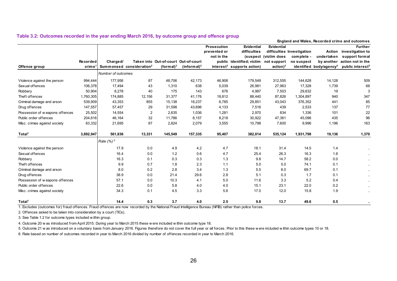|                                 |                                        |                    |                                      |                                      |                         |                    |                                        |                       |                            |                                     | England and Wales, Recorded crime and outcomes |
|---------------------------------|----------------------------------------|--------------------|--------------------------------------|--------------------------------------|-------------------------|--------------------|----------------------------------------|-----------------------|----------------------------|-------------------------------------|------------------------------------------------|
|                                 |                                        |                    |                                      |                                      |                         | <b>Prosecution</b> | <b>Evidential</b>                      | <b>Evidential</b>     |                            |                                     | <b>Further</b>                                 |
|                                 |                                        |                    |                                      |                                      |                         | prevented or       | difficulties                           |                       | difficulties Investigation | <b>Action</b>                       | investigation to                               |
|                                 |                                        |                    |                                      |                                      |                         | not in the         |                                        | (suspect (victim does | complete -                 | undertaken                          | support formal                                 |
|                                 | Recorded                               | Charged/           |                                      | Taken into Out-of-court Out-of-court |                         |                    | public identified; victim              | not support           | no suspect                 | by another                          | action not in the                              |
| Offence group                   | $\mathbf{crim}\,\mathbf{e}^{\,\prime}$ |                    | Summonsed consideration <sup>2</sup> | (formal) $3$                         | (informal) <sup>3</sup> |                    | interest <sup>3</sup> supports action) | $action)^3$           |                            | identified body/agency <sup>4</sup> | public interest <sup>5</sup>                   |
|                                 |                                        | Number of outcomes |                                      |                                      |                         |                    |                                        |                       |                            |                                     |                                                |
| Violence against the person     | 994,444                                | 177,956            | 87                                   | 48,706                               | 42.173                  | 46,908             | 179,549                                | 312,555               | 144,628                    | 14,128                              | 509                                            |
| Sexual offences                 | 106,378                                | 17,494             | 43                                   | 1,310                                | 638                     | 5,039              | 26,981                                 | 27,963                | 17,328                     | 1,739                               | 68                                             |
| Robbery                         | 50,904                                 | 8,278              | 40                                   | 175                                  | 143                     | 676                | 4,987                                  | 7,503                 | 29,632                     | 19                                  |                                                |
| Theft offences                  | 1,760,305                              | 174,885            | 12,156                               | 31,377                               | 41,176                  | 18,812             | 88,440                                 | 87,826                | 1,304,897                  | 940                                 | 347                                            |
| Criminal damage and arson       | 539,909                                | 43,353             | 855                                  | 15,138                               | 18,237                  | 6,785              | 29,851                                 | 43,043                | 376,352                    | 441                                 | 85                                             |
| Drug offences                   | 147,557                                | 57,457             | 29                                   | 31,598                               | 43,696                  | 4,133              | 7,516                                  | 439                   | 2,533                      | 137                                 | 77                                             |
| Possession of w eapons offences | 25,502                                 | 14,554             | 2                                    | 2,635                                | 1,036                   | 1,281              | 2,970                                  | 834                   | 1,336                      | 101                                 | 22                                             |
| Public order offences           | 204,616                                | 46,164             | 32                                   | 11,786                               | 8,157                   | 8,218              | 30,922                                 | 47,361                | 45,096                     | 435                                 | 96                                             |
| Misc. crimes against society    | 63,332                                 | 21,695             | 87                                   | 2,824                                | 2,079                   | 3,555              | 10,798                                 | 7,600                 | 9,996                      | 1,196                               | 163                                            |
| Total <sup>1</sup>              | 3,892,947                              | 561,836            | 13,331                               | 145,549                              | 157,335                 | 95,407             | 382,014                                | 535,124               | 1,931,798                  | 19,136                              | 1,370                                          |
|                                 |                                        | Rate $(%)^6$       |                                      |                                      |                         |                    |                                        |                       |                            |                                     |                                                |
| Violence against the person     |                                        | 17.9               | 0.0                                  | 4.9                                  | 4.2                     | 4.7                | 18.1                                   | 31.4                  | 14.5                       | 1.4                                 | $\sim$                                         |
| Sexual offences                 |                                        | 16.4               | $0.0\,$                              | 1.2                                  | 0.6                     | 4.7                | 25.4                                   | 26.3                  | 16.3                       | 1.6                                 | $\cdots$                                       |
| Robbery                         |                                        | 16.3               | 0.1                                  | 0.3                                  | 0.3                     | 1.3                | 9.8                                    | 14.7                  | 58.2                       | 0.0                                 | $\sim$                                         |
| Theft offences                  |                                        | 9.9                | 0.7                                  | 1.8                                  | 2.3                     | 1.1                | 5.0                                    | 5.0                   | 74.1                       | 0.1                                 | $\sim$                                         |
| Criminal damage and arson       |                                        | 8.0                | 0.2                                  | 2.8                                  | 3.4                     | 1.3                | 5.5                                    | 8.0                   | 69.7                       | 0.1                                 | $\sim$                                         |
| Drug offences                   |                                        | 38.9               | 0.0                                  | 21.4                                 | 29.6                    | 2.8                | 5.1                                    | 0.3                   | 1.7                        | 0.1                                 | $\sim$                                         |
| Possession of weapons offences  |                                        | 57.1               | 0.0                                  | 10.3                                 | 4.1                     | 5.0                | 11.6                                   | 3.3                   | 5.2                        | 0.4                                 | $\sim$                                         |
| Public order offences           |                                        | 22.6               | 0.0                                  | 5.8                                  | 4.0                     | 4.0                | 15.1                                   | 23.1                  | 22.0                       | 0.2                                 | $\sim$                                         |
| Misc. crimes against society    |                                        | 34.3               | 0.1                                  | 4.5                                  | 3.3                     | 5.6                | 17.0                                   | 12.0                  | 15.8                       | 1.9                                 | $\sim$                                         |
| Total <sup>1</sup>              |                                        | 14.4               | 0.3                                  | 3.7                                  | 4.0                     | 2.5                | 9.8                                    | 13.7                  | 49.6                       | 0.5                                 |                                                |

#### **Table 3.2: Outcomes recorded in the year ending March 2016, by outcome group and offence group**

1. Excludes (outcomes for) fraud offences. Fraud offences are now recorded by the National Fraud Intelligence Bureau (NFIB) rather than police forces.

2. Offences asked to be taken into consideration by a court (TICs).

3. See Table 1.2 for outcome types included w ithin group.

4. Outcome 20 w as introduced from April 2015. During year to March 2015 these w ere included w ithin outcome type 18.

5. Outcome 21 w as introduced on a voluntary basis from January 2016. Figures therefore do not cover the full year or all forces. Prior to this these w ere included w ithin outcome types 10 or 18.

6. Rate based on number of outcomes recorded in year to March 2016 divided by number of offences recorded in year to March 2016.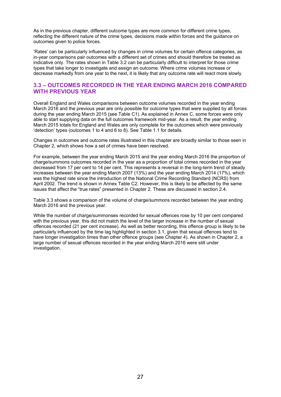As in the previous chapter, different outcome types are more common for different crime types, reflecting the different nature of the crime types, decisions made within forces and the guidance on outcomes given to police forces.

'Rates' can be particularly influenced by changes in crime volumes for certain offence categories, as in-year comparisons pair outcomes with a different set of crimes and should therefore be treated as indicative only. The rates shown in Table 3.2 can be particularly difficult to interpret for those crime types that take longer to investigate and assign an outcome. Where crime volumes increase or decrease markedly from one year to the next, it is likely that any outcome rate will react more slowly.

#### **3.3 – OUTCOMES RECORDED IN THE YEAR ENDING MARCH 2016 COMPARED WITH PREVIOUS YEAR**

Overall England and Wales comparisons between outcome volumes recorded in the year ending March 2016 and the previous year are only possible for outcome types that were supplied by all forces during the year ending March 2015 (see Table C1). As explained in Annex C, some forces were only able to start supplying data on the full outcomes framework mid-year. As a result, the year ending March 2015 totals for England and Wales are only complete for the outcomes which were previously 'detection' types (outcomes 1 to 4 and 6 to 8). See Table 1.1 for details.

Changes in outcomes and outcome rates illustrated in this chapter are broadly similar to those seen in Chapter 2, which shows how a set of crimes have been resolved.

For example, between the year ending March 2015 and the year ending March 2016 the proportion of charge/summons outcomes recorded in the year as a proportion of total crimes recorded in the year decreased from 17 per cent to 14 per cent. This represents a reversal in the long-term trend of steady increases between the year ending March 2007 (13%) and the year ending March 2014 (17%), which was the highest rate since the introduction of the National Crime Recording Standard (NCRS) from April 2002. The trend is shown in Annex Table C2. However, this is likely to be affected by the same issues that affect the "true rates" presented in Chapter 2. These are discussed in section 2.4.

Table 3.3 shows a comparison of the volume of charge/summons recorded between the year ending March 2016 and the previous year.

While the number of charge/summonses recorded for sexual offences rose by 10 per cent compared with the previous year, this did not match the level of the larger increase in the number of sexual offences recorded (21 per cent increase). As well as better recording, this offence group is likely to be particularly influenced by the time lag highlighted in section 3.1, given that sexual offences tend to have longer investigation times than other offence groups (see Chapter 4). As shown in Chapter 2, a large number of sexual offences recorded in the year ending March 2016 were still under investigation.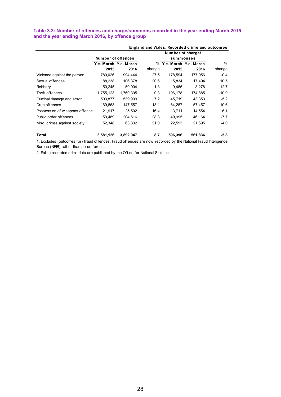#### **Table 3.3: Number of offences and charge/summons recorded in the year ending March 2015 and the year ending March 2016, by offence group**

|                               |                    | England and Wales, Recorded crime and outcomes |         |                         |         |               |  |  |  |  |  |  |  |  |
|-------------------------------|--------------------|------------------------------------------------|---------|-------------------------|---------|---------------|--|--|--|--|--|--|--|--|
|                               |                    |                                                |         | Number of charge/       |         |               |  |  |  |  |  |  |  |  |
|                               | Number of offences |                                                |         | summonses               |         |               |  |  |  |  |  |  |  |  |
|                               |                    | Y.e. March Y.e. March                          |         | % Y.e. March Y.e. March |         | $\frac{0}{0}$ |  |  |  |  |  |  |  |  |
|                               | 2015               | 2016                                           | change  | 2015                    | 2016    | change        |  |  |  |  |  |  |  |  |
| Violence against the person   | 780,026            | 994.444                                        | 27.5    | 178,594                 | 177,956 | $-0.4$        |  |  |  |  |  |  |  |  |
| Sexual offences               | 88,238             | 106,378                                        | 20.6    | 15,834                  | 17.494  | 10.5          |  |  |  |  |  |  |  |  |
| Robbery                       | 50,245             | 50.904                                         | 1.3     | 9,485                   | 8,278   | $-12.7$       |  |  |  |  |  |  |  |  |
| Theft offences                | 1,755,123          | 1.760.305                                      | 0.3     | 196,178                 | 174.885 | $-10.9$       |  |  |  |  |  |  |  |  |
| Criminal damage and arson     | 503,877            | 539,909                                        | 7.2     | 45,719                  | 43,353  | $-5.2$        |  |  |  |  |  |  |  |  |
| Drug offences                 | 169,863            | 147,557                                        | $-13.1$ | 64,287                  | 57,457  | $-10.6$       |  |  |  |  |  |  |  |  |
| Possession of weapons offence | 21,917             | 25,502                                         | 16.4    | 13,711                  | 14,554  | 6.1           |  |  |  |  |  |  |  |  |
| Public order offences         | 159,489            | 204,616                                        | 28.3    | 49,995                  | 46,164  | $-7.7$        |  |  |  |  |  |  |  |  |
| Misc. crimes against society  | 52,348             | 63,332                                         | 21.0    | 22,593                  | 21,695  | $-4.0$        |  |  |  |  |  |  |  |  |
| Total <sup>1</sup>            | 3,581,126          | 3,892,947                                      | 8.7     | 596.396                 | 561,836 | -5.8          |  |  |  |  |  |  |  |  |

1. Excludes (outcomes for) fraud offences. Fraud offences are now recorded by the National Fraud Intelligence Bureau (NFIB) rather than police forces.

2. Police recorded crime data are published by the Office for National Statistics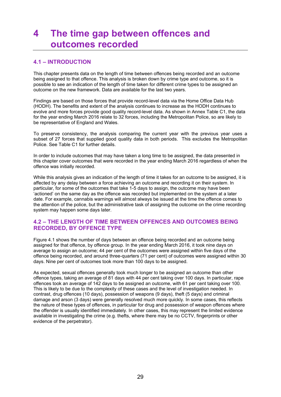## **4 The time gap between offences and outcomes recorded**

## **4.1 – INTRODUCTION**

This chapter presents data on the length of time between offences being recorded and an outcome being assigned to that offence. This analysis is broken down by crime type and outcome, so it is possible to see an indication of the length of time taken for different crime types to be assigned an outcome on the new framework. Data are available for the last two years.

Findings are based on those forces that provide record-level data via the Home Office Data Hub (HODH). The benefits and extent of the analysis continues to increase as the HODH continues to evolve and more forces provide good quality record-level data. As shown in Annex Table C1, the data for the year ending March 2016 relate to 32 forces, including the Metropolitan Police, so are likely to be representative of England and Wales.

To preserve consistency, the analysis comparing the current year with the previous year uses a subset of 27 forces that supplied good quality data in both periods. This excludes the Metropolitan Police. See Table C1 for further details.

In order to include outcomes that may have taken a long time to be assigned, the data presented in this chapter cover outcomes that were recorded in the year ending March 2016 regardless of when the offence was initially recorded.

While this analysis gives an indication of the length of time it takes for an outcome to be assigned, it is affected by any delay between a force achieving an outcome and recording it on their system. In particular, for some of the outcomes that take 1-5 days to assign, the outcome may have been 'actioned' on the same day as the offence was recorded but implemented on the system at a later date. For example, cannabis warnings will almost always be issued at the time the offence comes to the attention of the police, but the administrative task of assigning the outcome on the crime recording system may happen some days later.

### **4.2 – THE LENGTH OF TIME BETWEEN OFFENCES AND OUTCOMES BEING RECORDED, BY OFFENCE TYPE**

Figure 4.1 shows the number of days between an offence being recorded and an outcome being assigned for that offence, by offence group. In the year ending March 2016, it took nine days on average to assign an outcome; 44 per cent of the outcomes were assigned within five days of the offence being recorded, and around three-quarters (71 per cent) of outcomes were assigned within 30 days. Nine per cent of outcomes took more than 100 days to be assigned.

As expected, sexual offences generally took much longer to be assigned an outcome than other offence types, taking an average of 81 days with 44 per cent taking over 100 days. In particular, rape offences took an average of 142 days to be assigned an outcome, with 61 per cent taking over 100. This is likely to be due to the complexity of these cases and the level of investigation needed. In contrast, drug offences (10 days), possession of weapons (9 days), theft (5 days) and criminal damage and arson (3 days) were generally resolved much more quickly. In some cases, this reflects the nature of these types of offences, in particular for drug and possession of weapon offences where the offender is usually identified immediately. In other cases, this may represent the limited evidence available in investigating the crime (e.g. thefts, where there may be no CCTV, fingerprints or other evidence of the perpetrator).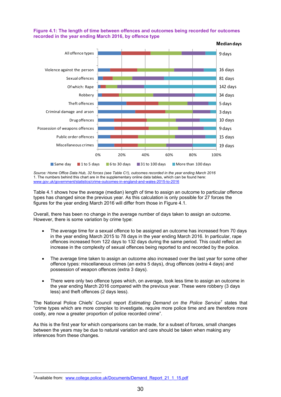

**Figure 4.1: The length of time between offences and outcomes being recorded for outcomes recorded in the year ending March 2016, by offence type** 

*Source: Home Office Data Hub, 32 forces (see Table C1), outcomes recorded in the year ending March 2016*  1. The numbers behind this chart are in the supplementary online data tables, which can be found here: www.gov.uk/government/statistics/crime-outcomes-in-england-and-wales-2015-to-2016

Table 4.1 shows how the average (median) length of time to assign an outcome to particular offence types has changed since the previous year. As this calculation is only possible for 27 forces the figures for the year ending March 2016 will differ from those in Figure 4.1.

Overall, there has been no change in the average number of days taken to assign an outcome. However, there is some variation by crime type:

- The average time for a sexual offence to be assigned an outcome has increased from 70 days in the year ending March 2015 to 78 days in the year ending March 2016. In particular, rape offences increased from 122 days to 132 days during the same period. This could reflect an increase in the complexity of sexual offences being reported to and recorded by the police.
- The average time taken to assign an outcome also increased over the last year for some other offence types: miscellaneous crimes (an extra 5 days), drug offences (extra 4 days) and possession of weapon offences (extra 3 days).
- There were only two offence types which, on average, took less time to assign an outcome in the year ending March 2016 compared with the previous year. These were robbery (3 days less) and theft offences (2 days less).

The National Police Chiefs' Council report *Estimating Demand on the Police Service7* states that "crime types which are more complex to investigate, require more police time and are therefore more costly, are now a greater proportion of police recorded crime".

As this is the first year for which comparisons can be made, for a subset of forces, small changes between the years may be due to natural variation and care should be taken when making any inferences from these changes.

 

<sup>7</sup>Available from: www.college.police.uk/Documents/Demand\_Report\_21\_1\_15.pdf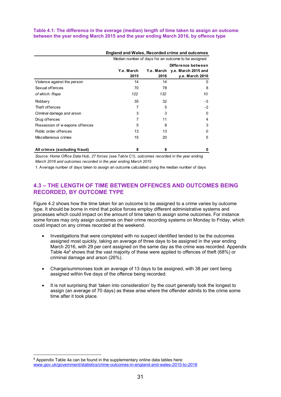#### **Table 4.1: The difference in the average (median) length of time taken to assign an outcome between the year ending March 2015 and the year ending March 2016, by offence type**

|                                | <b>England and Wales, Recorded crime and outcomes</b> |            |                     |  |  |  |  |  |  |
|--------------------------------|-------------------------------------------------------|------------|---------------------|--|--|--|--|--|--|
|                                | Median number of days for an outcome to be assigned   |            |                     |  |  |  |  |  |  |
|                                | Difference between                                    |            |                     |  |  |  |  |  |  |
|                                | Y.e. March                                            | Y.e. March | y.e. March 2015 and |  |  |  |  |  |  |
|                                | 2015                                                  | 2016       | y.e. March 2016     |  |  |  |  |  |  |
| Violence against the person    | 14                                                    | 14         | 0                   |  |  |  |  |  |  |
| Sexual offences                | 70                                                    | 78         | 8                   |  |  |  |  |  |  |
| of which: Rape                 | 122                                                   | 132        | 10                  |  |  |  |  |  |  |
| Robbery                        | 35                                                    | 32         | -3                  |  |  |  |  |  |  |
| Theft offences                 | 7                                                     | 5          | $-2$                |  |  |  |  |  |  |
| Criminal damage and arson      | 3                                                     | 3          | <sup>0</sup>        |  |  |  |  |  |  |
| Drug offences                  |                                                       | 11         | 4                   |  |  |  |  |  |  |
| Possession of weapons offences | 5                                                     | 8          | 3                   |  |  |  |  |  |  |
| Public order offences          | 13                                                    | 13         | O                   |  |  |  |  |  |  |
| Miscellaneous crimes           | 15                                                    | 20         | 5                   |  |  |  |  |  |  |
| All crimes (excluding fraud)   | 8                                                     | 8          | 0                   |  |  |  |  |  |  |

*Source: Home Office Data Hub, 27 forces (see Table C1), outcomes recorded in the year ending March 2016 and outcomes recorded in the year ending March 2015*

1. Average number of days taken to assign an outcome calculated using the median number of days

### **4.3 – THE LENGTH OF TIME BETWEEN OFFENCES AND OUTCOMES BEING RECORDED, BY OUTCOME TYPE**

Figure 4.2 shows how the time taken for an outcome to be assigned to a crime varies by outcome type. It should be borne in mind that police forces employ different administrative systems and processes which could impact on the amount of time taken to assign some outcomes. For instance some forces may only assign outcomes on their crime recording systems on Monday to Friday, which could impact on any crimes recorded at the weekend.

- Investigations that were completed with no suspect identified tended to be the outcomes assigned most quickly, taking an average of three days to be assigned in the year ending March 2016, with 29 per cent assigned on the same day as the crime was recorded. Appendix Table  $4a^8$  shows that the vast majority of these were applied to offences of theft (68%) or criminal damage and arson (26%).
- Charge/summonses took an average of 13 days to be assigned, with 38 per cent being assigned within five days of the offence being recorded.
- It is not surprising that 'taken into consideration' by the court generally took the longest to assign (an average of 70 days) as these arise where the offender admits to the crime some time after it took place.

 

<sup>&</sup>lt;sup>8</sup> Appendix Table 4a can be found in the supplementary online data tables here: www.gov.uk/government/statistics/crime-outcomes-in-england-and-wales-2015-to-2016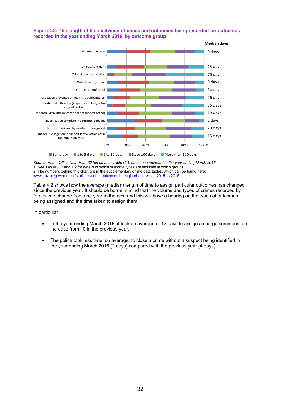#### **Figure 4.2: The length of time between offences and outcomes being recorded for outcomes recorded in the year ending March 2016, by outcome group**



*Source: Home Office Data Hub, 32 forces (see Table C1), outcomes recorded in the year ending March 2016*  1. See Tables 1.1 and 1.2 for details of which outcome types are included in which groups 2. The numbers behind this chart are in the supplementary online data tables, which can be found here: www.gov.uk/government/statistics/crime-outcomes-in-england-and-wales-2015-to-2016

Table 4.2 shows how the average (median) length of time to assign particular outcomes has changed since the previous year. It should be borne in mind that the volume and types of crimes recorded by forces can change from one year to the next and this will have a bearing on the types of outcomes being assigned and the time taken to assign them.

In particular:

- In the year ending March 2016, it took an average of 12 days to assign a charge/summons, an increase from 10 in the previous year.
- The police took less time, on average, to close a crime without a suspect being identified in the year ending March 2016 (2 days) compared with the previous year (4 days).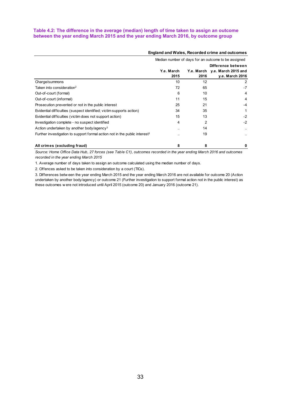#### **Table 4.2: The difference in the average (median) length of time taken to assign an outcome between the year ending March 2015 and the year ending March 2016, by outcome group**

|                                                                                        | England and Wales, Recorded crime and outcomes |                                                     |                     |  |  |  |  |  |  |
|----------------------------------------------------------------------------------------|------------------------------------------------|-----------------------------------------------------|---------------------|--|--|--|--|--|--|
|                                                                                        |                                                | Median number of days for an outcome to be assigned |                     |  |  |  |  |  |  |
|                                                                                        |                                                | Difference between                                  |                     |  |  |  |  |  |  |
|                                                                                        | Y.e. March                                     | Y.e. March                                          | y.e. March 2015 and |  |  |  |  |  |  |
|                                                                                        | 2015                                           | 2016                                                | y.e. March 2016     |  |  |  |  |  |  |
| Charge/summons                                                                         | 10                                             | 12                                                  | 2                   |  |  |  |  |  |  |
| Taken into consideration <sup>2</sup>                                                  | 72                                             | 65                                                  | $-7$                |  |  |  |  |  |  |
| Out-of-court (formal)                                                                  | 6                                              | 10                                                  | 4                   |  |  |  |  |  |  |
| Out-of-court (informal)                                                                | 11                                             | 15                                                  | 4                   |  |  |  |  |  |  |
| Prosecution prevented or not in the public interest                                    | 25                                             | 21                                                  | $-4$                |  |  |  |  |  |  |
| Evidential difficulties (suspect identified; victim supports action)                   | 34                                             | 35                                                  |                     |  |  |  |  |  |  |
| Evidential difficulties (victim does not support action)                               | 15                                             | 13                                                  | $-2$                |  |  |  |  |  |  |
| Investigation complete - no suspect identified                                         | 4                                              | 2                                                   | $-2$                |  |  |  |  |  |  |
| Action undertaken by another body/agency <sup>3</sup>                                  |                                                | 14                                                  |                     |  |  |  |  |  |  |
| Further investigation to support formal action not in the public interest <sup>3</sup> |                                                | 19                                                  |                     |  |  |  |  |  |  |
| All crimes (excluding fraud)                                                           | 8                                              | 8                                                   | 0                   |  |  |  |  |  |  |

*Source: Home Office Data Hub, 27 forces (see Table C1), outcomes recorded in the year ending March 2016 and outcomes recorded in the year ending March 2015*

1. Average number of days taken to assign an outcome calculated using the median number of days.

2. Offences asked to be taken into consideration by a court (TICs).

3. Differences betw een the year ending March 2015 and the year ending March 2016 are not available for outcome 20 (Action undertaken by another body/agency) or outcome 21 (Further investigation to support formal action not in the public interest) as these outcomes w ere not introduced until April 2015 (outcome 20) and January 2016 (outcome 21).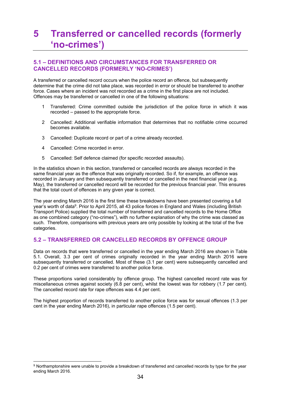## **5 Transferred or cancelled records (formerly 'no-crimes')**

## **5.1 – DEFINITIONS AND CIRCUMSTANCES FOR TRANSFERRED OR CANCELLED RECORDS (FORMERLY 'NO-CRIMES')**

A transferred or cancelled record occurs when the police record an offence, but subsequently determine that the crime did not take place, was recorded in error or should be transferred to another force. Cases where an incident was not recorded as a crime in the first place are not included. Offences may be transferred or cancelled in one of the following situations:

- 1 Transferred: Crime committed outside the jurisdiction of the police force in which it was recorded – passed to the appropriate force.
- 2 Cancelled: Additional verifiable information that determines that no notifiable crime occurred becomes available.
- 3 Cancelled: Duplicate record or part of a crime already recorded.
- 4 Cancelled: Crime recorded in error.
- 5 Cancelled: Self defence claimed (for specific recorded assaults).

In the statistics shown in this section, transferred or cancelled records are always recorded in the same financial year as the offence that was originally recorded. So if, for example, an offence was recorded in January and then subsequently transferred or cancelled in the next financial year (e.g. May), the transferred or cancelled record will be recorded for the previous financial year. This ensures that the total count of offences in any given year is correct.

The year ending March 2016 is the first time these breakdowns have been presented covering a full year's worth of data9. Prior to April 2015, all 43 police forces in England and Wales (including British Transport Police) supplied the total number of transferred and cancelled records to the Home Office as one combined category ("no-crimes"), with no further explanation of why the crime was classed as such. Therefore, comparisons with previous years are only possible by looking at the total of the five categories.

### **5.2 – TRANSFERRED OR CANCELLED RECORDS BY OFFENCE GROUP**

Data on records that were transferred or cancelled in the year ending March 2016 are shown in Table 5.1. Overall, 3.3 per cent of crimes originally recorded in the year ending March 2016 were subsequently transferred or cancelled. Most of these (3.1 per cent) were subsequently cancelled and 0.2 per cent of crimes were transferred to another police force.

These proportions varied considerably by offence group. The highest cancelled record rate was for miscellaneous crimes against society (6.8 per cent), whilst the lowest was for robbery (1.7 per cent). The cancelled record rate for rape offences was 4.4 per cent.

The highest proportion of records transferred to another police force was for sexual offences (1.3 per cent in the year ending March 2016), in particular rape offences (1.5 per cent).

<sup>9</sup> Northamptonshire were unable to provide a breakdown of transferred and cancelled records by type for the year ending March 2016.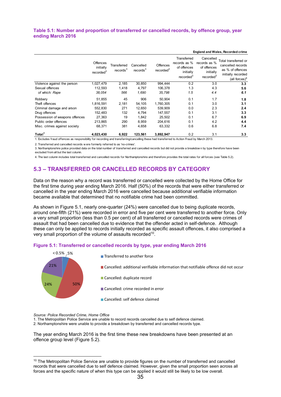#### **Table 5.1: Number and proportion of transferred or cancelled records, by offence group, year ending March 2016**

|                                | Offences<br>initially<br>recorded <sup>3</sup> | Transferred<br>records <sup>3</sup> | Cancelled<br>records <sup>3</sup> | <b>Offences</b><br>recorded <sup>3</sup> | Transferred<br>records as %<br>of offences<br>initially<br>recorded <sup>3</sup> | Cancelled<br>records as %<br>of offences<br>initially<br>recorded <sup>3</sup> | Total transferred or<br>cancelled records<br>as % of offences<br>initially recorded<br>(all forces) <sup>4</sup> |
|--------------------------------|------------------------------------------------|-------------------------------------|-----------------------------------|------------------------------------------|----------------------------------------------------------------------------------|--------------------------------------------------------------------------------|------------------------------------------------------------------------------------------------------------------|
| Violence against the person    | 1,027,479                                      | 2,185                               | 30,850                            | 994,444                                  | 0.2                                                                              | 3.0                                                                            | 3.3                                                                                                              |
| Sexual offences                | 112,593                                        | 1,418                               | 4,797                             | 106,378                                  | 1.3                                                                              | 4.3                                                                            | 5.6                                                                                                              |
| of which: Rape                 | 38,054                                         | 566                                 | 1,690                             | 35,798                                   | 1.5                                                                              | 4.4                                                                            | 6.1                                                                                                              |
| Robbery                        | 51,855                                         | 45                                  | 906                               | 50.904                                   | 0.1                                                                              | 1.7                                                                            | 1.8                                                                                                              |
| Theft offences                 | 1,816,591                                      | 2,181                               | 54,105                            | 1,760,305                                | 0.1                                                                              | 3.0                                                                            | 3.1                                                                                                              |
| Criminal damage and arson      | 552,830                                        | 271                                 | 12,650                            | 539,909                                  | 0.0                                                                              | 2.3                                                                            | 2.4                                                                                                              |
| Drug offences                  | 152.483                                        | 132                                 | 4,794                             | 147.557                                  | 0.1                                                                              | 3.1                                                                            | 3.3                                                                                                              |
| Possession of weapons offences | 27,363                                         | 19                                  | 1.842                             | 25,502                                   | 0.1                                                                              | 6.7                                                                            | 6.9                                                                                                              |
| Public order offences          | 213.865                                        | 290                                 | 8,959                             | 204,616                                  | 0.1                                                                              | 4.2                                                                            | 4.4                                                                                                              |
| Misc. crimes against society   | 68,371                                         | 381                                 | 4,658                             | 63,332                                   | 0.6                                                                              | 6.8                                                                            | 7.4                                                                                                              |
| Total <sup>1</sup>             | 4,023,430                                      | 6,922                               | 123,561                           | 3,892,947                                | 0.2                                                                              | 3.1                                                                            | 3.3                                                                                                              |

#### **England and Wales, Recorded crime**

1. Excludes fraud offences as responsibility for recording and transferring/cancelling these had transferred to Action Fraud by March 2013.

2. Transferred and cancelled records w ere formerly referred to as 'no-crimes'.

3. Northamptonshire police provided data on the total number of transferred and cancelled records but did not provide a breakdow n by type therefore have been excluded from all but the last column.

4. The last column includes total transferred and cancelled records for Northamptonshire and therefore provides the total rates for all forces (see Table 5.2).

## **5.3 – TRANSFERRED OR CANCELLED RECORDS BY CATEGORY**

Data on the reason why a record was transferred or cancelled were collected by the Home Office for the first time during year ending March 2016. Half (50%) of the records that were either transferred or cancelled in the year ending March 2016 were cancelled because additional verifiable information became available that determined that no notifiable crime had been committed.

As shown in Figure 5.1, nearly one-quarter (24%) were cancelled due to being duplicate records, around one-fifth (21%) were recorded in error and five per cent were transferred to another force. Only a very small proportion (less than 0.5 per cent) of all transferred or cancelled records were crimes of assault that had been cancelled due to evidence that the offender acted in self-defence. Although these can only be applied to records initially recorded as specific assault offences, it also comprised a very small proportion of the volume of assaults recorded<sup>10</sup>.

#### **Figure 5.1: Transferred or cancelled records by type, year ending March 2016**



*Source: Police Recorded Crime, Home Office*

 

1. The Metropolitan Police Service are unable to record records cancelled due to self defence claimed.

2. Northamptonshire were unable to provide a breakdown by transferred and cancelled records type.

The year ending March 2016 is the first time these new breakdowns have been presented at an offence group level (Figure 5.2).

<sup>&</sup>lt;sup>10</sup> The Metropolitan Police Service are unable to provide figures on the number of transferred and cancelled records that were cancelled due to self defence claimed. However, given the small proportion seen across all forces and the specific nature of when this type can be applied it would still be likely to be low overall.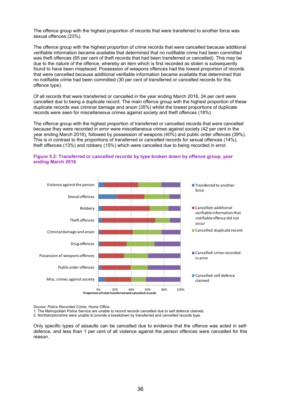The offence group with the highest proportion of records that were transferred to another force was sexual offences (23%).

The offence group with the highest proportion of crime records that were cancelled because additional verifiable information became available that determined that no notifiable crime had been committed was theft offences (65 per cent of theft records that had been transferred or cancelled). This may be due to the nature of the offence, whereby an item which is first recorded as stolen is subsequently found to have been misplaced. Possession of weapons offences had the lowest proportion of records that were cancelled because additional verifiable information became available that determined that no notifiable crime had been committed (30 per cent of transferred or cancelled records for this offence type).

Of all records that were transferred or cancelled in the year ending March 2016, 24 per cent were cancelled due to being a duplicate record. The main offence group with the highest proportion of these duplicate records was criminal damage and arson (35%) whilst the lowest proportions of duplicate records were seen for miscellaneous crimes against society and theft offences (18%).

The offence group with the highest proportion of transferred or cancelled records that were cancelled because they were recorded in error were miscellaneous crimes against society (42 per cent in the year ending March 2016), followed by possession of weapons (40%) and public order offences (39%). This is in contrast to the proportions of transferred or cancelled records for sexual offences (14%), theft offences (13%) and robbery (15%) which were cancelled due to being recorded in error.



#### **Figure 5.2: Transferred or cancelled records by type broken down by offence group, year ending March 2016**

*Source: Police Recorded Crime, Home Office*

1. The Metropolitan Police Service are unable to record records cancelled due to self defence claimed.

2. Northamptonshire were unable to provide a breakdown by transferred and cancelled records type.

Only specific types of assaults can be cancelled due to evidence that the offence was acted in selfdefence, and less than 1 per cent of all violence against the person offences were cancelled for this reason.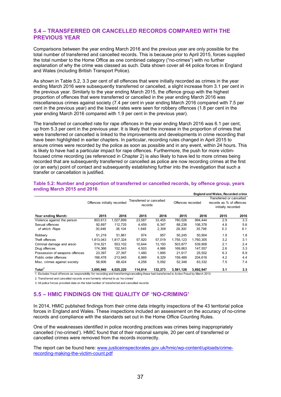## **5.4 – TRANSFERRED OR CANCELLED RECORDS COMPARED WITH THE PREVIOUS YEAR**

Comparisons between the year ending March 2016 and the previous year are only possible for the total number of transferred and cancelled records. This is because prior to April 2015, forces supplied the total number to the Home Office as one combined category ("no-crimes") with no further explanation of why the crime was classed as such. Data shown cover all 44 police forces in England and Wales (including British Transport Police).

As shown in Table 5.2, 3.3 per cent of all offences that were initially recorded as crimes in the year ending March 2016 were subsequently transferred or cancelled, a slight increase from 3.1 per cent in the previous year. Similarly to the year ending March 2015, the offence group with the highest proportion of offences that were transferred or cancelled in the year ending March 2016 was miscellaneous crimes against society (7.4 per cent in year ending March 2016 compared with 7.5 per cent in the previous year) and the lowest rates were seen for robbery offences (1.8 per cent in the year ending March 2016 compared with 1.9 per cent in the previous year).

The transferred or cancelled rate for rape offences in the year ending March 2016 was 6.1 per cent, up from 5.3 per cent in the previous year. It is likely that the increase in the proportion of crimes that were transferred or cancelled is linked to the improvements and developments in crime recording that have been highlighted in earlier chapters. In particular, recording rules changed in April 2015 to ensure crimes were recorded by the police as soon as possible and in any event, within 24 hours. This is likely to have had a particular impact for rape offences. Furthermore, the push for more victimfocused crime recording (as referenced in Chapter 2) is also likely to have led to more crimes being recorded that are subsequently transferred or cancelled as police are now recording crimes at the first (or an early) point of contact and subsequently establishing further into the investigation that such a transfer or cancellation is justified.

|                                |                             |           |                                     |         |                   |           | <b>England and Wales, Recorded crime</b>                                   |      |
|--------------------------------|-----------------------------|-----------|-------------------------------------|---------|-------------------|-----------|----------------------------------------------------------------------------|------|
|                                | Offences initially recorded |           | Transferred or cancelled<br>records |         | Offences recorded |           | Transferred or cancelled<br>records as % of offences<br>initially recorded |      |
| Year ending March:             | 2015                        | 2016      | 2015                                | 2016    | 2015              | 2016      | 2015                                                                       | 2016 |
| Violence against the person    | 803,613                     | 1,027,899 | 23,587                              | 33,455  | 780.026           | 994.444   | 2.9                                                                        | 3.3  |
| Sexual offences                | 92.697                      | 112.725   | 4,459                               | 6,347   | 88,238            | 106.378   | 4.8                                                                        | 5.6  |
| of which: Rape                 | 30,948                      | 38,104    | 1,648                               | 2.306   | 29,300            | 35,798    | 5.3                                                                        | 6.1  |
| Robbery                        | 51.219                      | 51.861    | 974                                 | 957     | 50.245            | 50.904    | 1.9                                                                        | 1.8  |
| Theft offences                 | 1.813.043                   | 1.817.324 | 57.920                              | 57.019  | 1,755,123         | 1.760.305 | 3.2                                                                        | 3.1  |
| Criminal damage and arson      | 514.521                     | 553,102   | 10,644                              | 13.193  | 503.877           | 539.909   | 2.1                                                                        | 2.4  |
| Drug offences                  | 174.366                     | 152,543   | 4,503                               | 4,986   | 169,863           | 147,557   | 2.6                                                                        | 3.3  |
| Possession of weapons offences | 23,397                      | 27,397    | 1,480                               | 1,895   | 21.917            | 25.502    | 6.3                                                                        | 6.9  |
| Public order offences          | 166,478                     | 213,945   | 6,989                               | 9,329   | 159,489           | 204,616   | 4.2                                                                        | 4.4  |
| Misc. crimes against society   | 56,606                      | 68.424    | 4,258                               | 5,092   | 52.348            | 63,332    | 7.5                                                                        | 7.4  |
| Total <sup>1</sup>             | 3,695,940                   | 4,025,220 | 114,814                             | 132.273 | 3,581,126         | 3,892,947 | 3.1                                                                        | 3.3  |

#### **Table 5.2: Number and proportion of transferred or cancelled records, by offence group, years ending March 2015 and 2016**

1. Excludes fraud offences as responsibility for recording and transferring/cancelling these had transferred to Action Fraud by March 2013.

2. Transferred and cancelled records w ere formerly referred to as 'no-crimes'

3. All police forces provided data on the total number of transferred and cancelled records

## **5.5 – HMIC FINDINGS ON THE QUALITY OF 'NO-CRIMING'**

In 2014, HMIC published findings from their crime data integrity inspections of the 43 territorial police forces in England and Wales. These inspections included an assessment on the accuracy of no-crime records and compliance with the standards set out in the Home Office Counting Rules.

One of the weaknesses identified in police recording practices was crimes being inappropriately cancelled ('no-crimed'). HMIC found that of their national sample, 20 per cent of transferred or cancelled crimes were removed from the records incorrectly.

The report can be found here: www.justiceinspectorates.gov.uk/hmic/wp-content/uploads/crimerecording-making-the-victim-count.pdf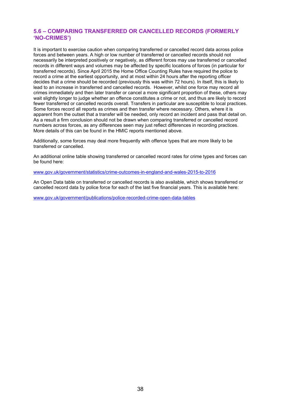### **5.6 – COMPARING TRANSFERRED OR CANCELLED RECORDS (FORMERLY 'NO-CRIMES')**

It is important to exercise caution when comparing transferred or cancelled record data across police forces and between years. A high or low number of transferred or cancelled records should not necessarily be interpreted positively or negatively, as different forces may use transferred or cancelled records in different ways and volumes may be affected by specific locations of forces (in particular for transferred records). Since April 2015 the Home Office Counting Rules have required the police to record a crime at the earliest opportunity, and at most within 24 hours after the reporting officer decides that a crime should be recorded (previously this was within 72 hours). In itself, this is likely to lead to an increase in transferred and cancelled records. However, whilst one force may record all crimes immediately and then later transfer or cancel a more significant proportion of these, others may wait slightly longer to judge whether an offence constitutes a crime or not, and thus are likely to record fewer transferred or cancelled records overall. Transfers in particular are susceptible to local practices. Some forces record all reports as crimes and then transfer where necessary. Others, where it is apparent from the outset that a transfer will be needed, only record an incident and pass that detail on. As a result a firm conclusion should not be drawn when comparing transferred or cancelled record numbers across forces, as any differences seen may just reflect differences in recording practices. More details of this can be found in the HMIC reports mentioned above.

Additionally, some forces may deal more frequently with offence types that are more likely to be transferred or cancelled.

An additional online table showing transferred or cancelled record rates for crime types and forces can be found here:

www.gov.uk/government/statistics/crime-outcomes-in-england-and-wales-2015-to-2016

An Open Data table on transferred or cancelled records is also available, which shows transferred or cancelled record data by police force for each of the last five financial years. This is available here:

www.gov.uk/government/publications/police-recorded-crime-open-data-tables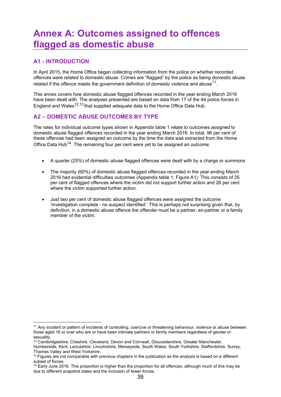## **Annex A: Outcomes assigned to offences flagged as domestic abuse**

## **A1 - INTRODUCTION**

 

In April 2015, the Home Office began collecting information from the police on whether recorded offences were related to domestic abuse. Crimes are "flagged" by the police as being domestic abuse related if the offence meets the government definition of domestic violence and abuse<sup>11</sup>.

This annex covers how domestic abuse flagged offences recorded in the year ending March 2016 have been dealt with. The analyses presented are based on data from 17 of the 44 police forces in England and Wales<sup>12,13</sup> that supplied adequate data to the Home Office Data Hub.

## **A2 – DOMESTIC ABUSE OUTCOMES BY TYPE**

The rates for individual outcome types shown in Appendix table 1 relate to outcomes assigned to domestic abuse flagged offences recorded in the year ending March 2016. In total, 96 per cent of these offences had been assigned an outcome by the time the data was extracted from the Home Office Data Hub<sup>14</sup>. The remaining four per cent were yet to be assigned an outcome.

- A quarter (25%) of domestic abuse flagged offences were dealt with by a charge or summons
- The majority (60%) of domestic abuse flagged offences recorded in the year ending March 2016 had evidential difficulties outcomes (Appendix table 1; Figure A1). This consists of 35 per cent of flagged offences where the victim did not support further action and 26 per cent where the victim supported further action.
- Just two per cent of domestic abuse flagged offences were assigned the outcome 'investigation complete - no suspect identified'. This is perhaps not surprising given that, by definition, in a domestic abuse offence the offender must be a partner, ex-partner or a family member of the victim.

<sup>11</sup> Any incident or pattern of incidents of controlling, coercive or threatening behaviour, violence or abuse between those aged 16 or over who are or have been intimate partners or family members regardless of gender or sexuality.

<sup>&</sup>lt;sup>12</sup> Cambridgeshire, Cheshire, Cleveland, Devon and Cornwall, Gloucestershire, Greater Manchester,

Humberside, Kent, Lancashire, Lincolnshire, Merseyside, South Wales, South Yorkshire, Staffordshire, Surrey, Thames Valley and West Yorkshire.

 $13$  Figures are not comparable with previous chapters in the publication as the analysis is based on a different subset of forces.

<sup>&</sup>lt;sup>14</sup> Early June 2016. This proportion is higher than the proportion for all offences, although much of this may be due to different snapshot dates and the inclusion of fewer forces.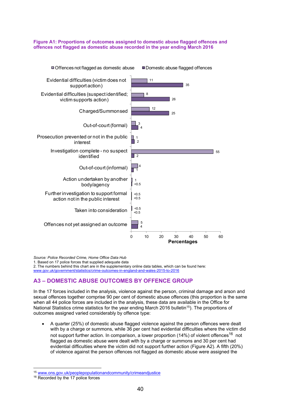#### **Figure A1: Proportions of outcomes assigned to domestic abuse flagged offences and offences not flagged as domestic abuse recorded in the year ending March 2016**



*Source: Police Recorded Crime, Home Office Data Hub*

1. Based on 17 police forces that supplied adequate data

2. The numbers behind this chart are in the supplementary online data tables, which can be found here: www.gov.uk/government/statistics/crime-outcomes-in-england-and-wales-2015-to-2016

## **A3 – DOMESTIC ABUSE OUTCOMES BY OFFENCE GROUP**

In the 17 forces included in the analysis, violence against the person, criminal damage and arson and sexual offences together comprise 90 per cent of domestic abuse offences (this proportion is the same when all 44 police forces are included in the analysis, these data are available in the Office for National Statistics crime statistics for the year ending March 2016 bulletin<sup>15</sup>). The proportions of outcomes assigned varied considerably by offence type:

 A quarter (25%) of domestic abuse flagged violence against the person offences were dealt with by a charge or summons, while 36 per cent had evidential difficulties where the victim did not support further action. In comparison, a lower proportion (14%) of violent offences<sup>16</sup> not flagged as domestic abuse were dealt with by a charge or summons and 30 per cent had evidential difficulties where the victim did not support further action (Figure A2). A fifth (20%) of violence against the person offences not flagged as domestic abuse were assigned the

 

<sup>15</sup> www.ons.gov.uk/peoplepopulationandcommunity/crimeandjustice 16 Recorded by the 17 police forces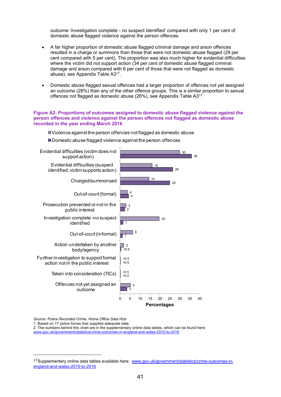outcome 'investigation complete - no suspect identified' compared with only 1 per cent of domestic abuse flagged violence against the person offences.

- A far higher proportion of domestic abuse flagged criminal damage and arson offences resulted in a charge or summons than those that were not domestic abuse flagged (29 per cent compared with 5 per cent). The proportion was also much higher for evidential difficulties where the victim did not support action (34 per cent of domestic abuse flagged criminal damage and arson compared with 6 per cent of those that were not flagged as domestic abuse), see Appendix Table A317.
- Domestic abuse flagged sexual offences had a larger proportion of offences not yet assigned an outcome (28%) than any of the other offence groups. This is a similar proportion to sexual offences not flagged as domestic abuse (26%), see Appendix Table A3<sup>17</sup>.

#### **Figure A2: Proportions of outcomes assigned to domestic abuse flagged violence against the person offences and violence against the person offences not flagged as domestic abuse recorded in the year ending March 2016**

3  $< 0.5$ <0.5 -<br><0.5 1 1 2 4 25  $26$ 36 5  $< 0.5$  $< 0.5$  $\Box$  2 6  $20$ 3 4 14 16 30 0 5 10 15 20 25 30 35 40 Offences not yet assigned an outcome Taken into consideration (TICs) Further investigation to support formal action not in the public interest Action undertaken by another body/agency Out-of-court (informal) Investigation complete -no suspect identified Prosecution prevented or not in the public interest Out-of-court (formal) Charged/summonsed Evidential difficulties (suspect identified; victim supports action) Evidential difficulties (victim does not support action) **Percentages** Violence against the person offences not flagged as domestic abuse ■Domestic abuse flagged violence against the person offences

*Source: Police Recorded Crime, Home Office Data Hub*

 

1. Based on 17 police forces that supplied adequate data

2. The numbers behind this chart are in the supplementary online data tables, which can be found here: www.gov.uk/government/statistics/crime-outcomes-in-england-and-wales-2015-to-2016

<sup>17</sup>Supplementary online data tables available here: www.gov.uk/government/statistics/crime-outcomes-inengland-and-wales-2015-to-2016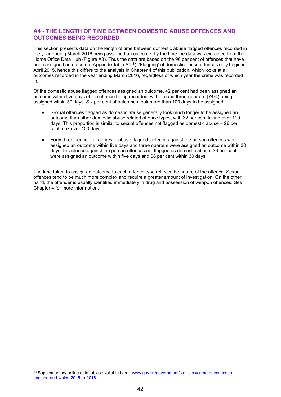### **A4 - THE LENGTH OF TIME BETWEEN DOMESTIC ABUSE OFFENCES AND OUTCOMES BEING RECORDED**

This section presents data on the length of time between domestic abuse flagged offences recorded in the year ending March 2016 being assigned an outcome, by the time the data was extracted from the Home Office Data Hub (Figure A3). Thus the data are based on the 96 per cent of offences that have been assigned an outcome (Appendix table A1<sup>18</sup>). 'Flagging' of domestic abuse offences only begin in April 2015, hence this differs to the analysis in Chapter 4 of this publication, which looks at all outcomes recorded in the year ending March 2016, regardless of which year the crime was recorded in.

Of the domestic abuse flagged offences assigned an outcome, 42 per cent had been assigned an outcome within five days of the offence being recorded, with around three-quarters (74%) being assigned within 30 days. Six per cent of outcomes took more than 100 days to be assigned.

- Sexual offences flagged as domestic abuse generally took much longer to be assigned an outcome than other domestic abuse related offence types, with 32 per cent taking over 100 days. This proportion is similar to sexual offences not flagged as domestic abuse – 26 per cent took over 100 days.
- Forty three per cent of domestic abuse flagged violence against the person offences were assigned an outcome within five days and three quarters were assigned an outcome within 30 days. In violence against the person offences not flagged as domestic abuse, 36 per cent were assigned an outcome within five days and 68 per cent within 30 days.

The time taken to assign an outcome to each offence type reflects the nature of the offence. Sexual offences tend to be much more complex and require a greater amount of investigation. On the other hand, the offender is usually identified immediately in drug and possession of weapon offences. See Chapter 4 for more information.

 

<sup>18</sup> Supplementary online data tables available here: www.gov.uk/government/statistics/crime-outcomes-inengland-and-wales-2015-to-2016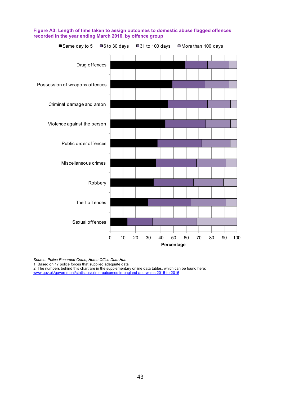

**Figure A3: Length of time taken to assign outcomes to domestic abuse flagged offences recorded in the year ending March 2016, by offence group** 

*Source: Police Recorded Crime, Home Office Data Hub*

1. Based on 17 police forces that supplied adequate data

2. The numbers behind this chart are in the supplementary online data tables, which can be found here: www.gov.uk/government/statistics/crime-outcomes-in-england-and-wales-2015-to-2016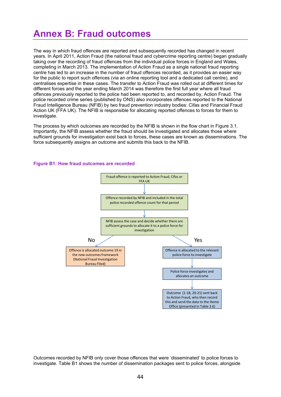## **Annex B: Fraud outcomes**

The way in which fraud offences are reported and subsequently recorded has changed in recent years. In April 2011, Action Fraud (the national fraud and cybercrime reporting centre) began gradually taking over the recording of fraud offences from the individual police forces in England and Wales, completing in March 2013. The implementation of Action Fraud as a single national fraud reporting centre has led to an increase in the number of fraud offences recorded, as it provides an easier way for the public to report such offences (via an online reporting tool and a dedicated call centre), and centralises expertise in these cases. The transfer to Action Fraud was rolled out at different times for different forces and the year ending March 2014 was therefore the first full year where all fraud offences previously reported to the police had been reported to, and recorded by, Action Fraud. The police recorded crime series (published by ONS) also incorporates offences reported to the National Fraud Intelligence Bureau (NFIB) by two fraud prevention industry bodies: Cifas and Financial Fraud Action UK (FFA UK). The NFIB is responsible for allocating reported offences to forces for them to investigate.

The process by which outcomes are recorded by the NFIB is shown in the flow chart in Figure 3.1. Importantly, the NFIB assess whether the fraud should be investigated and allocates those where sufficient grounds for investigation exist back to forces, these cases are known as disseminations. The force subsequently assigns an outcome and submits this back to the NFIB.

#### **Figure B1: How fraud outcomes are recorded**



Outcomes recorded by NFIB only cover those offences that were 'disseminated' to police forces to investigate. Table B1 shows the number of dissemination packages sent to police forces, alongside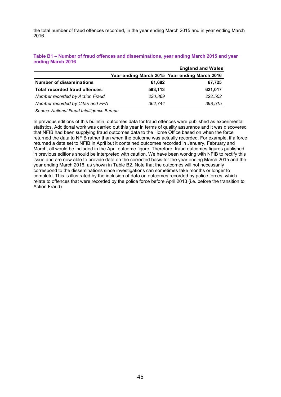the total number of fraud offences recorded, in the year ending March 2015 and in year ending March 2016.

|                                  |         | <b>England and Wales</b>                      |
|----------------------------------|---------|-----------------------------------------------|
|                                  |         | Year ending March 2015 Year ending March 2016 |
| <b>Number of disseminations</b>  | 61,682  | 67,725                                        |
| Total recorded fraud offences:   | 593,113 | 621,017                                       |
| Number recorded by Action Fraud  | 230,369 | 222,502                                       |
| Number recorded by Cifas and FFA | 362.744 | 398,515                                       |

**Table B1 – Number of fraud offences and disseminations, year ending March 2015 and year ending March 2016** 

*Source: National Fraud Intelligence Bureau*

In previous editions of this bulletin, outcomes data for fraud offences were published as experimental statistics. Additional work was carried out this year in terms of quality assurance and it was discovered that NFIB had been supplying fraud outcomes data to the Home Office based on when the force returned the data to NFIB rather than when the outcome was actually recorded. For example, if a force returned a data set to NFIB in April but it contained outcomes recorded in January, February and March, all would be included in the April outcome figure. Therefore, fraud outcomes figures published in previous editions should be interpreted with caution. We have been working with NFIB to rectify this issue and are now able to provide data on the corrected basis for the year ending March 2015 and the year ending March 2016, as shown in Table B2. Note that the outcomes will not necessarily correspond to the disseminations since investigations can sometimes take months or longer to complete. This is illustrated by the inclusion of data on outcomes recorded by police forces, which relate to offences that were recorded by the police force before April 2013 (i.e. before the transition to Action Fraud).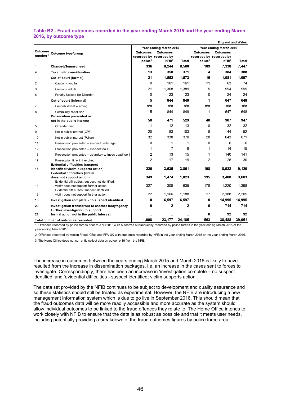#### **Table B2 - Fraud outcomes recorded in the year ending March 2015 and the year ending March 2016, by outcome type**

|                     |                                                                                        |                                    |                                              |        |                            | <b>England and Wales</b>                     |                |  |
|---------------------|----------------------------------------------------------------------------------------|------------------------------------|----------------------------------------------|--------|----------------------------|----------------------------------------------|----------------|--|
|                     |                                                                                        |                                    | Year ending March 2015                       |        | Year ending March 2016     |                                              |                |  |
| Outcome             | Outcome type/group                                                                     | <b>Outcomes</b><br><b>Outcomes</b> |                                              |        | <b>Outcomes</b>            | <b>Outcomes</b>                              |                |  |
| number <sup>3</sup> |                                                                                        |                                    | recorded by recorded by<br>NFIB <sup>2</sup> | Total  |                            | recorded by recorded by<br>NFIB <sup>2</sup> |                |  |
| 1                   | Charged/Summonsed                                                                      | police <sup>1</sup><br>336         | 8,244                                        | 8,580  | police <sup>1</sup><br>109 | 7,338                                        | Total<br>7,447 |  |
|                     |                                                                                        | 13                                 | 358                                          | 371    | 4                          |                                              | 388            |  |
| 4                   | <b>Taken into consideration</b>                                                        |                                    |                                              |        |                            | 384                                          |                |  |
|                     | Out-of-court (formal)                                                                  | 21                                 | 1,552                                        | 1,573  | 16                         | 1,081                                        | 1,097          |  |
| 2                   | Caution - youths                                                                       | $\Omega$                           | 161                                          | 161    | 11                         | 63                                           | 74             |  |
| 3                   | Caution - adults                                                                       | 21                                 | 1,368                                        | 1,389  | 5                          | 994                                          | 999            |  |
| 6                   | Penalty Notices for Disorder                                                           | 0                                  | 23                                           | 23     | 0                          | 24                                           | 24             |  |
|                     | Out-of-court (informal)                                                                | 5                                  | 844                                          | 849    | 1                          | 647                                          | 648            |  |
| 7                   | Cannabis/Khat w arning                                                                 | n/a                                | n/a                                          | n/a    | n/a                        | n/a                                          | n/a            |  |
| 8                   | Community resolution                                                                   | 5                                  | 844                                          | 849    | 1                          | 647                                          | 648            |  |
|                     | Prosecution prevented or                                                               |                                    |                                              |        |                            |                                              |                |  |
|                     | not in the public interest                                                             | 58                                 | 471                                          | 529    | 40                         | 907                                          | 947            |  |
| 5                   | Offender died                                                                          | 1                                  | 12                                           | 13     | $\Omega$                   | 32                                           | 32             |  |
| 9                   | Not in public interest (CPS)                                                           | 20                                 | 83                                           | 103    | 8                          | 44                                           | 52             |  |
| 10                  | Not in public interest (Police)                                                        | 32                                 | 338                                          | 370    | 28                         | 643                                          | 671            |  |
| 11                  | Prosecution prevented - suspect under age                                              | 0                                  | 1                                            | 1      | 0                          | 6                                            | 6              |  |
| 12                  | Prosecution prevented - suspect too ill                                                | 1                                  | 7                                            | 8      | 1                          | 14                                           | 15             |  |
| 13                  | Prosecution prevented - victim/key witness dead/too ill                                | 2                                  | 13                                           | 15     | 1                          | 140                                          | 141            |  |
| 17                  | Prosecution time limit expired                                                         | $\overline{2}$                     | 17                                           | 19     | $\overline{2}$             | 28                                           | 30             |  |
|                     | <b>Evidential difficulties (suspect</b>                                                |                                    |                                              |        |                            |                                              |                |  |
| 15                  | identified; victim supports action)<br><b>Evidential difficulties (victim</b>          | 226                                | 3,635                                        | 3,861  | 198                        | 8,922                                        | 9,120          |  |
|                     | does not support action)                                                               | 349                                | 1,474                                        | 1,823  | 195                        | 3,408                                        | 3,603          |  |
|                     | Evidential difficulties: suspect not identified;                                       |                                    |                                              |        |                            |                                              |                |  |
| 14                  | victim does not support further action                                                 | 327                                | 308                                          | 635    | 178                        | 1,220                                        | 1,398          |  |
| 16                  | Evidential difficulties: suspect identified;<br>victim does not support further action | 22                                 | 1,166                                        | 1,188  | 17                         | 2,188                                        | 2,205          |  |
| 18                  | Investigation complete - no suspect identified                                         | 0                                  | 6,597                                        | 6,597  | 0                          | 14,995                                       | 14,995         |  |
| 20                  | Investigation transferred to another body/agency                                       | 0                                  | 2                                            | 2      | 0                          | 714                                          | 714            |  |
|                     | Further investigation to support                                                       |                                    |                                              |        |                            |                                              |                |  |
| 21                  | formal action not in the public interest                                               |                                    |                                              |        | 0                          | 92                                           | 92             |  |
|                     | Total number of outcomes recorded                                                      | 1.008                              | 23.177                                       | 24,185 | 563                        | 38.488                                       | 39.051         |  |

1. Offences recorded by police forces prior to April 2013 w ith outcomes subsequently recorded by police forces in the year ending March 2015 or the year ending March 2016.

2. Offences recorded by Action Fraud, Cifas and FFA UK w ith outcomes recorded by NFIB in the year ending March 2015 or the year ending March 2016.

3. The Home Office does not currently collect data on outcome 19 from the NFIB.

The increase in outcomes between the years ending March 2015 and March 2016 is likely to have resulted from the increase in dissemination packages, i.e. an increase in the cases sent to forces to investigate. Correspondingly, there has been an increase in 'investigation complete – no suspect identified' and 'evidential difficulties - suspect identified; victim supports action'.

The data set provided by the NFIB continues to be subject to development and quality assurance and so these statistics should still be treated as experimental. However, the NFIB are introducing a new management information system which is due to go live in September 2016. This should mean that the fraud outcomes data will be more readily accessible and more accurate as the system should allow individual outcomes to be linked to the fraud offences they relate to. The Home Office intends to work closely with NFIB to ensure that the data is as robust as possible and that it meets user needs, including potentially providing a breakdown of the fraud outcomes figures by police force area.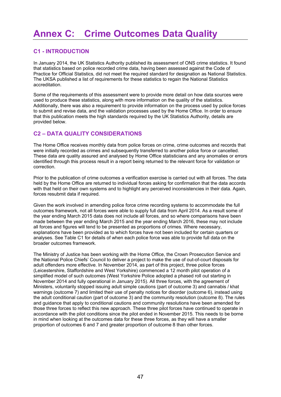## **Annex C: Crime Outcomes Data Quality**

## **C1 - INTRODUCTION**

In January 2014, the UK Statistics Authority published its assessment of ONS crime statistics. It found that statistics based on police recorded crime data, having been assessed against the Code of Practice for Official Statistics, did not meet the required standard for designation as National Statistics. The UKSA published a list of requirements for these statistics to regain the National Statistics accreditation.

Some of the requirements of this assessment were to provide more detail on how data sources were used to produce these statistics, along with more information on the quality of the statistics. Additionally, there was also a requirement to provide information on the process used by police forces to submit and revise data, and the validation processes used by the Home Office. In order to ensure that this publication meets the high standards required by the UK Statistics Authority, details are provided below.

### **C2 – DATA QUALITY CONSIDERATIONS**

The Home Office receives monthly data from police forces on crime, crime outcomes and records that were initially recorded as crimes and subsequently transferred to another police force or cancelled. These data are quality assured and analysed by Home Office statisticians and any anomalies or errors identified through this process result in a report being returned to the relevant force for validation or correction.

Prior to the publication of crime outcomes a verification exercise is carried out with all forces. The data held by the Home Office are returned to individual forces asking for confirmation that the data accords with that held on their own systems and to highlight any perceived inconsistencies in their data. Again, forces resubmit data if required.

Given the work involved in amending police force crime recording systems to accommodate the full outcomes framework, not all forces were able to supply full data from April 2014. As a result some of the year ending March 2015 data does not include all forces, and so where comparisons have been made between the year ending March 2015 and the year ending March 2016, these may not include all forces and figures will tend to be presented as proportions of crimes. Where necessary, explanations have been provided as to which forces have not been included for certain quarters or analyses. See Table C1 for details of when each police force was able to provide full data on the broader outcomes framework.

The Ministry of Justice has been working with the Home Office, the Crown Prosecution Service and the National Police Chiefs' Council to deliver a project to make the use of out-of-court disposals for adult offenders more effective. In November 2014, as part of this project, three police forces (Leicestershire, Staffordshire and West Yorkshire) commenced a 12 month pilot operation of a simplified model of such outcomes (West Yorkshire Police adopted a phased roll out starting in November 2014 and fully operational in January 2015). All three forces, with the agreement of Ministers, voluntarily stopped issuing adult simple cautions (part of outcome 3) and cannabis / khat warnings (outcome 7) and limited their use of penalty notices for disorder (outcome 6), instead using the adult conditional caution (part of outcome 3) and the community resolution (outcome 8). The rules and guidance that apply to conditional cautions and community resolutions have been amended for those three forces to reflect this new approach. These three pilot forces have continued to operate in accordance with the pilot conditions since the pilot ended in November 2015. This needs to be borne in mind when looking at the outcomes data for these three forces, as they will have a smaller proportion of outcomes 6 and 7 and greater proportion of outcome 8 than other forces.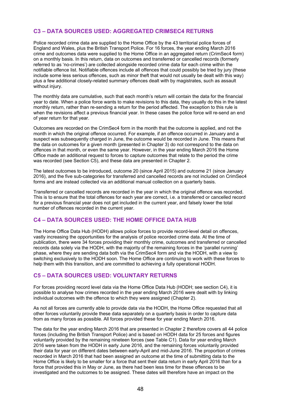## **C3 – DATA SOURCES USED: AGGREGATED CRIMSEC4 RETURNS**

Police recorded crime data are supplied to the Home Office by the 43 territorial police forces of England and Wales, plus the British Transport Police. For 16 forces, the year ending March 2016 crime and outcomes data were supplied to the Home Office in an aggregated return (CrimSec4 form) on a monthly basis. In this return, data on outcomes and transferred or cancelled records (formerly referred to as 'no-crimes') are collected alongside recorded crime data for each crime within the notifiable offence list. Notifiable offences include all offences that could possibly be tried by jury (these include some less serious offences, such as minor theft that would not usually be dealt with this way) plus a few additional closely-related summary offences dealt with by magistrates, such as assault without injury.

The monthly data are cumulative, such that each month's return will contain the data for the financial year to date. When a police force wants to make revisions to this data, they usually do this in the latest monthly return, rather than re-sending a return for the period affected. The exception to this rule is when the revisions affect a previous financial year. In these cases the police force will re-send an end of year return for that year.

Outcomes are recorded on the CrimSec4 form in the month that the outcome is applied, and not the month in which the original offence occurred. For example, if an offence occurred in January and a suspect was subsequently charged in June, the outcome would be recorded in June. This means that the data on outcomes for a given month (presented in Chapter 3) do not correspond to the data on offences in that month, or even the same year. However, in the year ending March 2016 the Home Office made an additional request to forces to capture outcomes that relate to the period the crime was recorded (see Section C5), and these data are presented in Chapter 2.

The latest outcomes to be introduced, outcome 20 (since April 2015) and outcome 21 (since January 2016), and the five sub-categories for transferred and cancelled records are not included on CrimSec4 forms and are instead collected via an additional manual collection on a quarterly basis.

Transferred or cancelled records are recorded in the year in which the original offence was recorded. This is to ensure that the total offences for each year are correct, i.e. a transferred or cancelled record for a previous financial year does not get included in the current year, and falsely lower the total number of offences recorded in the current year.

### **C4 – DATA SOURCES USED: THE HOME OFFICE DATA HUB**

The Home Office Data Hub (HODH) allows police forces to provide record-level detail on offences, vastly increasing the opportunities for the analysis of police recorded crime data. At the time of publication, there were 34 forces providing their monthly crime, outcomes and transferred or cancelled records data solely via the HODH, with the majority of the remaining forces in the 'parallel running' phase, where they are sending data both via the CrimSec4 form and via the HODH, with a view to switching exclusively to the HODH soon. The Home Office are continuing to work with these forces to help them with this transition, and are committed to achieving a fully operational HODH.

### **C5 – DATA SOURCES USED: VOLUNTARY RETURNS**

For forces providing record level data via the Home Office Data Hub (HODH; see section C4), it is possible to analyse how crimes recorded in the year ending March 2016 were dealt with by linking individual outcomes with the offence to which they were assigned (Chapter 2).

As not all forces are currently able to provide data via the HODH, the Home Office requested that all other forces voluntarily provide these data separately on a quarterly basis in order to capture data from as many forces as possible. All forces provided these for year ending March 2016.

The data for the year ending March 2016 that are presented in Chapter 2 therefore covers all 44 police forces (including the British Transport Police) and is based on HODH data for 25 forces and figures voluntarily provided by the remaining nineteen forces (see Table C1). Data for year ending March 2016 were taken from the HODH in early June 2016, and the remaining forces voluntarily provided their data for year on different dates between early-April and mid-June 2016. The proportion of crimes recorded in March 2016 that had been assigned an outcome at the time of submitting data to the Home Office is likely to be smaller for a force that sent their data return in early April 2016 than for a force that provided this in May or June, as there had been less time for these offences to be investigated and the outcomes to be assigned. These dates will therefore have an impact on the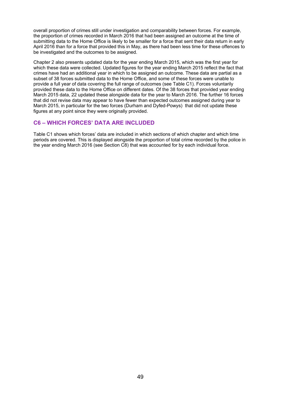overall proportion of crimes still under investigation and comparability between forces. For example, the proportion of crimes recorded in March 2016 that had been assigned an outcome at the time of submitting data to the Home Office is likely to be smaller for a force that sent their data return in early April 2016 than for a force that provided this in May, as there had been less time for these offences to be investigated and the outcomes to be assigned.

Chapter 2 also presents updated data for the year ending March 2015, which was the first year for which these data were collected. Updated figures for the year ending March 2015 reflect the fact that crimes have had an additional year in which to be assigned an outcome. These data are partial as a subset of 38 forces submitted data to the Home Office, and some of these forces were unable to provide a full year of data covering the full range of outcomes (see Table C1). Forces voluntarily provided these data to the Home Office on different dates. Of the 38 forces that provided year ending March 2015 data, 22 updated these alongside data for the year to March 2016. The further 16 forces that did not revise data may appear to have fewer than expected outcomes assigned during year to March 2015, in particular for the two forces (Durham and Dyfed-Powys) that did not update these figures at any point since they were originally provided.

#### **C6 – WHICH FORCES' DATA ARE INCLUDED**

Table C1 shows which forces' data are included in which sections of which chapter and which time periods are covered. This is displayed alongside the proportion of total crime recorded by the police in the year ending March 2016 (see Section C8) that was accounted for by each individual force.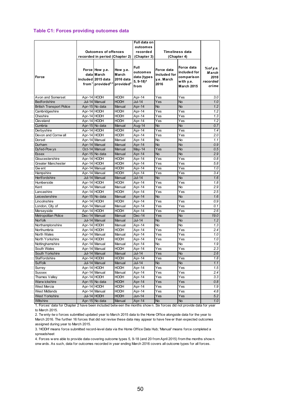#### **Table C1: Forces providing outcomes data**

|                                 |             |                                                                                                                       |                                | Full data on                                                     |                                                  |                                                         |                                        |  |  |
|---------------------------------|-------------|-----------------------------------------------------------------------------------------------------------------------|--------------------------------|------------------------------------------------------------------|--------------------------------------------------|---------------------------------------------------------|----------------------------------------|--|--|
|                                 |             |                                                                                                                       |                                | outcomes                                                         |                                                  |                                                         |                                        |  |  |
|                                 |             | <b>Outcomes of offences</b>                                                                                           |                                | recorded                                                         |                                                  | Timeliness data                                         |                                        |  |  |
|                                 |             | recorded in period (Chapter 2)                                                                                        |                                | (Chapter 3)                                                      |                                                  | (Chapter 4)                                             |                                        |  |  |
| Force                           |             | Force How y.e.<br>datalMarch<br>included 2015 data<br>from <sup>1</sup> provided <sup>2,3</sup> provided <sup>2</sup> | How y.e.<br>March<br>2016 data | <b>Full</b><br>outcomes<br>data (types<br>$5, 9-18$ <sup>4</sup> | Force data<br>included for<br>y.e. March<br>2016 | Force data<br>included for<br>com paris on<br>with y.e. | % of y.e.<br>March<br>2016<br>recorded |  |  |
|                                 |             |                                                                                                                       |                                | from                                                             |                                                  | <b>March 2015</b>                                       | crime                                  |  |  |
| Avon and Somerset               | Apr-14 HODH |                                                                                                                       | HODH                           | Apr-14                                                           | Yes                                              | Yes                                                     | 3.0                                    |  |  |
| <b>Bedfordshire</b>             |             | Jul-14 Manual                                                                                                         | <b>HODH</b>                    | Jul-14                                                           | Yes                                              | <b>No</b>                                               | 1.0                                    |  |  |
| <b>British Transport Police</b> |             | Apr-15 No data                                                                                                        | Manual                         | Apr-14                                                           | <b>No</b>                                        | <b>No</b>                                               | 1.2                                    |  |  |
| Cambridgeshire                  | Apr-14 HODH |                                                                                                                       | <b>HODH</b>                    | Apr-14                                                           | Yes                                              | Yes                                                     | 1.2                                    |  |  |
| Cheshire                        | Apr-14 HODH |                                                                                                                       | <b>HODH</b>                    | Apr-14                                                           | Yes                                              | Yes                                                     | 1.3                                    |  |  |
| Cleveland                       | Apr-14 HODH |                                                                                                                       | <b>HODH</b>                    | Apr-14                                                           | Yes                                              | Yes                                                     | 1.2                                    |  |  |
| Cumbria                         |             | Apr-15 No data                                                                                                        | Manual                         | Aug-14                                                           | <b>No</b>                                        | <b>No</b>                                               | 0.7                                    |  |  |
| Derbyshire                      | Apr-14 HODH |                                                                                                                       | HODH                           | Apr-14                                                           | Yes                                              | Yes                                                     | 1.4                                    |  |  |
| Devon and Cornwall              | Apr-14 HODH |                                                                                                                       | <b>HODH</b>                    | Apr-14                                                           | Yes                                              | Yes                                                     | 2.0                                    |  |  |
| Dorset                          |             | Apr-14 Manual                                                                                                         | Manual                         | Apr-14                                                           | <b>No</b>                                        | No                                                      | 1.1                                    |  |  |
| Durham                          |             | Apr-14 Manual                                                                                                         | Manual                         | Apr-14                                                           | <b>No</b>                                        | <b>No</b>                                               | 0.9                                    |  |  |
| Dyfed-Pow ys                    |             | Oct-14 Manual                                                                                                         | Manual                         | May-14                                                           | Yes                                              | No                                                      | 0.5                                    |  |  |
| <b>Essex</b>                    |             | Apr-15 No data                                                                                                        | Manual                         | Apr-14                                                           | <b>No</b>                                        | <b>No</b>                                               | 2.9                                    |  |  |
| Gloucestershire                 | Apr-14 HODH |                                                                                                                       | HODH                           | Apr-14                                                           | Yes                                              | Yes                                                     | 0.8                                    |  |  |
| <b>Greater Manchester</b>       | Apr-14 HODH |                                                                                                                       | <b>HODH</b>                    | Apr-14                                                           | Yes                                              | $\overline{Y}$ es                                       | 5.8                                    |  |  |
| Gw ent                          |             | Apr-14 Manual                                                                                                         | <b>HODH</b>                    | Apr-14                                                           | Yes                                              | Yes                                                     | 1.0                                    |  |  |
| Hampshire                       |             | Apr-14 Manual                                                                                                         | HODH                           | Apr-14                                                           | Yes                                              | Yes                                                     | 3.4                                    |  |  |
| <b>Hertfordshire</b>            |             | Jul-14 Manual                                                                                                         | Manual                         | <b>Jul-14</b>                                                    | <b>No</b>                                        | <b>No</b>                                               | 1.6                                    |  |  |
| Humberside                      | Apr-14 HODH |                                                                                                                       | <b>HODH</b>                    | Apr-14                                                           | Yes                                              | Yes                                                     | 1.8                                    |  |  |
| Kent                            |             | Apr-14 Manual                                                                                                         | Manual                         | Apr-14                                                           | Yes                                              | <b>No</b>                                               | 2.9                                    |  |  |
| Lancashire                      | Apr-14 HODH |                                                                                                                       | <b>HODH</b>                    | Apr-14                                                           | Yes                                              | Yes                                                     | 2.5                                    |  |  |
| Leicestershire                  |             | Apr-15 No data                                                                                                        | Manual                         | Apr-14                                                           | <b>No</b>                                        | <b>No</b>                                               | 1.6                                    |  |  |
| Lincolnshire                    | Apr-14 HODH |                                                                                                                       | <b>HODH</b>                    | Apr-14                                                           | Yes                                              | Yes                                                     | 0.9                                    |  |  |
| London, City of                 |             | Apr-14 Manual                                                                                                         | Manual                         | Apr-14                                                           | Yes                                              | Yes                                                     | 0.1                                    |  |  |
| Merseyside                      | Apr-14 HODH |                                                                                                                       | <b>HODH</b>                    | Apr-14                                                           | Yes                                              | Yes                                                     | 2.6                                    |  |  |
| Metropolitan Police             |             | Dec-14 Manual                                                                                                         | Manual                         | Dec-14                                                           | Yes                                              | <b>No</b>                                               | 19.0                                   |  |  |
| Norfolk                         |             | Jul-14 Manual                                                                                                         | Manual                         | <b>Jul-14</b>                                                    | <b>No</b>                                        | No                                                      | 1.2                                    |  |  |
| Northamptonshire                | Apr-14 HODH |                                                                                                                       | Manual                         | Apr-14                                                           | <b>No</b>                                        | <b>No</b>                                               | 1.3                                    |  |  |
| Northumbria                     | Apr-14 HODH |                                                                                                                       | HODH                           | Apr-14                                                           | Yes                                              | Yes                                                     | $2.4\,$                                |  |  |
| <b>North Wales</b>              |             | Apr-14 Manual                                                                                                         | Manual                         | Apr-14                                                           | Yes                                              | $\overline{Y}$ es                                       | 1.0                                    |  |  |
| North Yorkshire                 | Apr-14 HODH |                                                                                                                       | HODH                           | Apr-14                                                           | Yes                                              | Yes                                                     | 1.0                                    |  |  |
| Nottinghamshire                 |             | Apr-14 Manual                                                                                                         | Manual                         | Apr-14                                                           | No                                               | No                                                      | 1.9                                    |  |  |
| South Wales                     |             | Apr-14 Manual                                                                                                         | <b>HODH</b>                    | Apr-14                                                           | Yes                                              | Yes                                                     | 2.3                                    |  |  |
| South Yorkshire                 |             | Jul-14 Manual                                                                                                         | Manual                         | Jul-14                                                           | Yes                                              | <b>No</b>                                               | 2.6                                    |  |  |
| Staffordshire                   | Apr-14 HODH |                                                                                                                       | HODH                           | Apr-14                                                           | Yes                                              | Yes                                                     | 1.8                                    |  |  |
| Suffolk                         |             | Jul-14 Manual                                                                                                         | Manual                         | <b>Jul-14</b>                                                    | <b>No</b>                                        | <b>No</b>                                               | 1.1                                    |  |  |
| Surrey                          | Apr-14 HODH |                                                                                                                       | <b>HODH</b>                    | Apr-14                                                           | Yes                                              | Yes                                                     | 1.5                                    |  |  |
| Sussex                          |             | Apr-14 Manual                                                                                                         | Manual                         | Apr-14                                                           | Yes                                              | Yes                                                     | $2.4\,$                                |  |  |
| Thames Valley                   | Apr-14 HODH |                                                                                                                       | HODH                           | Apr-14                                                           | Yes                                              | Yes                                                     | 3.3                                    |  |  |
| Warw ickshire                   |             | Apr-15 No data                                                                                                        | <b>HODH</b>                    | Apr-14                                                           | Yes                                              | Yes                                                     | 0.8                                    |  |  |
| West Mercia                     | Apr-14 HODH |                                                                                                                       | <b>HODH</b>                    | Apr-14                                                           | Yes                                              | Yes                                                     | 1.9                                    |  |  |
| <b>West Midlands</b>            |             | Apr-14 Manual                                                                                                         | HODH                           | Apr-14                                                           | Yes                                              | Yes                                                     | 4.8                                    |  |  |
| <b>West Yorkshire</b>           |             | Jul-14 HODH                                                                                                           | <b>HODH</b>                    | Jun-14                                                           | Yes                                              | Yes                                                     | 5.2                                    |  |  |
| Wiltshire                       |             | Apr-15 No data                                                                                                        | Manual                         | Apr-14                                                           | <b>No</b>                                        | $\overline{N}$                                          | 1.0                                    |  |  |

1. Forces' data for Chapter 2 have been included betw een the months show n. Six forces did not provide data for year to March 2015.

2. Tw enty-tw o forces submitted updated year to March 2015 data to the Home Office alongside data for the year to March 2016. The further 16 forces that did not revise these data may appear to have few er than expected outcomes assigned during year to March 2015.

3. 'HODH' means force submitted record-level data via the Home Office Data Hub; 'Manual' means force completed a spreadsheet

4. Forces w ere able to provide data covering outcome types 5, 9-18 (and 20 from April 2015) from the months show n onw ards. As such, data for outcomes recorded in year ending March 2016 covers all outcome types for all forces.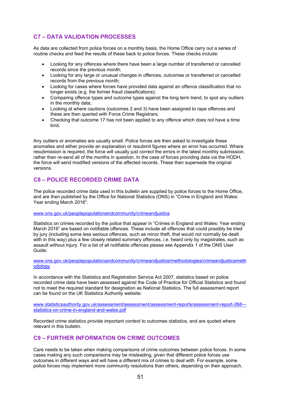## **C7 – DATA VALIDATION PROCESSES**

As data are collected from police forces on a monthly basis, the Home Office carry out a series of routine checks and feed the results of these back to police forces. These checks include:

- Looking for any offences where there have been a large number of transferred or cancelled records since the previous month;
- Looking for any large or unusual changes in offences, outcomes or transferred or cancelled records from the previous month;
- Looking for cases where forces have provided data against an offence classification that no longer exists (e.g. the former fraud classifications);
- Comparing offence types and outcome types against the long term trend, to spot any outliers in the monthly data;
- Looking at where cautions (outcomes 2 and 3) have been assigned to rape offences and these are then queried with Force Crime Registrars;
- Checking that outcome 17 has not been applied to any offence which does not have a time limit.

Any outliers or anomalies are usually small. Police forces are then asked to investigate these anomalies and either provide an explanation or resubmit figures where an error has occurred. Where resubmission is required, the force will usually just correct the errors in the latest monthly submission, rather than re-send all of the months in question. In the case of forces providing data via the HODH, the force will send modified versions of the affected records. These then supersede the original versions.

### **C8 – POLICE RECORDED CRIME DATA**

The police recorded crime data used in this bulletin are supplied by police forces to the Home Office, and are then published by the Office for National Statistics (ONS) in "Crime in England and Wales: Year ending March 2016":

#### www.ons.gov.uk/peoplepopulationandcommunity/crimeandjustice

Statistics on crimes recorded by the police that appear in "Crimes in England and Wales: Year ending March 2016" are based on notifiable offences. These include all offences that could possibly be tried by jury (including some less serious offences, such as minor theft, that would not normally be dealt with in this way) plus a few closely related summary offences, i.e. heard only by magistrates, such as assault without injury. For a list of all notifiable offences please see Appendix 1 of the ONS User Guide:

www.ons.gov.uk/peoplepopulationandcommunity/crimeandjustice/methodologies/crimeandjusticemeth odology

In accordance with the Statistics and Registration Service Act 2007, statistics based on police recorded crime data have been assessed against the Code of Practice for Official Statistics and found not to meet the required standard for designation as National Statistics. The full assessment report can be found on the UK Statistics Authority website:

www.statisticsauthority.gov.uk/assessment/assessment/assessment-reports/assessment-report-268-- statistics-on-crime-in-england-and-wales.pdf

Recorded crime statistics provide important context to outcomes statistics, and are quoted where relevant in this bulletin.

#### **C9 – FURTHER INFORMATION ON CRIME OUTCOMES**

Care needs to be taken when making comparisons of crime outcomes between police forces. In some cases making any such comparisons may be misleading, given that different police forces use outcomes in different ways and will have a different mix of crimes to deal with. For example, some police forces may implement more community resolutions than others, depending on their approach,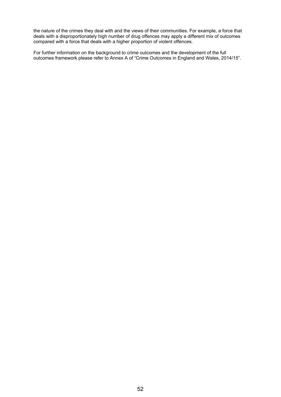the nature of the crimes they deal with and the views of their communities. For example, a force that deals with a disproportionately high number of drug offences may apply a different mix of outcomes compared with a force that deals with a higher proportion of violent offences.

For further information on the background to crime outcomes and the development of the full outcomes framework please refer to Annex A of "Crime Outcomes in England and Wales, 2014/15".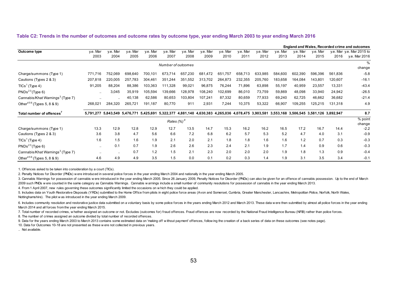#### **Table C2: Trends in the number of outcomes and outcome rates by outcome type, year ending March 2003 to year ending March 2016**

|                                              |                      |           |                               |          |          |                    |          |                                                                                                               |          |          |          |          |          |         | England and Wales, Recorded crime and outcomes |
|----------------------------------------------|----------------------|-----------|-------------------------------|----------|----------|--------------------|----------|---------------------------------------------------------------------------------------------------------------|----------|----------|----------|----------|----------|---------|------------------------------------------------|
| Outcome type                                 | y.e. Mar             | y.e. Mar  | y.e. Mar                      | y.e. Mar | y.e. Mar | y.e. Mar           | y.e. Mar | y.e. Mar                                                                                                      | y.e. Mar | v.e. Mar | y.e. Mar | v.e. Mar | v.e. Mar |         | y.e. Mar y.e. Mar 2015 to                      |
|                                              | 2003                 | 2004      | 2005                          | 2006     | 2007     | 2008               | 2009     | 2010                                                                                                          | 2011     | 2012     | 2013     | 2014     | 2015     | 2016    | y.e. Mar 2016                                  |
|                                              |                      |           |                               |          |          | Number of outcomes |          |                                                                                                               |          |          |          |          |          |         | %                                              |
|                                              |                      |           |                               |          |          |                    |          |                                                                                                               |          |          |          |          |          |         | change                                         |
| Charge/summons (Type 1)                      | 771,716              | 752,069   | 698,640                       | 700,101  | 673,714  | 657,230            | 681,472  | 651,757                                                                                                       | 658,713  | 633,985  | 584,600  | 602,390  | 596,396  | 561,836 | $-5.8$                                         |
| Cautions (Types 2 & 3)                       | 207,818              | 220,005   | 257,783                       | 304,461  | 351,244  | 351,552            | 313,702  | 264,873                                                                                                       | 232,355  | 205,760  | 183,658  | 164,084  | 143,801  | 120,607 | $-16.1$                                        |
| $TICs1$ (Type 4)                             | 91,205               | 88,204    | 88,386                        | 103,363  | 111,328  | 99,021             | 96,875   | 76,244                                                                                                        | 71,896   | 63,898   | 55,197   | 40,959   | 23,557   | 13,331  | $-43.4$                                        |
| PNDs <sup>23</sup> (Type 6)                  | $\ddotsc$            | 3,045     | 35,919                        | 105,594  | 139,666  | 128,978            | 108,240  | 102,699                                                                                                       | 86,010   | 73,759   | 59,869   | 48,098   | 33,940   | 24,942  | $-26.5$                                        |
| Cannabis/Khat Warnings <sup>3</sup> (Type 7) |                      | $\ddotsc$ | 40,138                        | 62,586   | 80,653   | 103,804            | 107,241  | 87,332                                                                                                        | 80,659   | 77,933   | 69,240   | 62,725   | 46,662   | 36,682  | $-21.4$                                        |
| Other $456$ (Types 5, 8 & 9)                 | 268,021              | 284,320   | 265,721                       | 191,187  | 80,770   | 911                | 2,931    | 7,244                                                                                                         | 10,375   | 53,322   | 66,907   | 109,255  | 125,215  | 131,318 | 4.9                                            |
| Total number of offences <sup>7</sup>        |                      |           | 5,791,277 5,843,549 5,476,771 |          |          |                    |          | 5,425,691 5,322,377 4,881,140 4,630,383 4,265,036 4,078,475 3,903,581 3,553,168 3,506,545 3,581,126 3,892,947 |          |          |          |          |          |         | 8.7                                            |
|                                              |                      |           |                               |          |          | Rates $(%)^8$      |          |                                                                                                               |          |          |          |          |          |         | % point<br>change                              |
| Charge/summons (Type 1)                      | 13.3                 | 12.9      | 12.8                          | 12.9     | 12.7     | 13.5               | 14.7     | 15.3                                                                                                          | 16.2     | 16.2     | 16.5     | 17.2     | 16.7     | 14.4    | $-2.2$                                         |
| Cautions (Types 2 & 3)                       | 3.6                  | 3.8       | 4.7                           | 5.6      | 6.6      | 7.2                | 6.8      | 6.2                                                                                                           | 5.7      | 5.3      | 5.2      | 4.7      | 4.0      | 3.1     | $-0.9$                                         |
| $TICs1$ (Type 4)                             | 1.6                  | 1.5       | 1.6                           | 1.9      | 2.1      | 2.0                | 2.1      | 1.8                                                                                                           | 1.8      | 1.6      | 1.6      | 1.2      | 0.7      | 0.3     | $-0.3$                                         |
| PNDs <sup>23</sup> (Type 6)                  | $\ddot{\phantom{a}}$ | 0.1       | 0.7                           | 1.9      | 2.6      | 2.6                | 2.3      | 2.4                                                                                                           | 2.1      | 1.9      | 1.7      | 1.4      | 0.9      | 0.6     | $-0.3$                                         |
| Cannabis/Khat Warnings <sup>3</sup> (Type 7) |                      | $\ddotsc$ | 0.7                           | 1.2      | 1.5      | 2.1                | 2.3      | 2.0                                                                                                           | 2.0      | 2.0      | 1.9      | 1.8      | 1.3      | 0.9     | $-0.4$                                         |
| Other $456$ (Types 5, 8 & 9)                 | 4.6                  | 4.9       | 4.9                           | 3.5      | 1.5      | 0.0                | 0.1      | 0.2                                                                                                           | 0.3      | 1.4      | 1.9      | 3.1      | 3.5      | 3.4     | $-0.1$                                         |

1. Offences asked to be taken into consideration by a court (TICs).

2. Penalty Notices for Disorder (PNDs) w ere introduced in several police forces in the year ending March 2004 and nationally in the year ending March 2005.

3. Cannabis Warnings for possession of cannabis were introduced in the year ending March 2005. Since 26 January 2009, Penalty Notices for Disorder (PNDs) can also be given for an offence of cannabis possession. Up to the e 2009 such PNDs w ere counted in the same category as Cannabis Warnings. Cannabis w arnings include a small number of community resolutions for possession of cannabis in the year ending March 2013.

4. From 1 April 2007, new rules governing these outcomes significantly limited the occasions on w hich they could be applied.

5. Includes data on Youth Restorative Disposals (YRDs) submitted to the Home Office from pilots in eight police force areas (Avon and Somerset, Cumbria, Greater Manchester, Lancashire, Metropolitan Police, Norfolk, North W Nottinghamshire). The pilot w as introduced in the year ending March 2009.

6. Includes community resolution and restorative justice data submitted on a voluntary basis by some police forces in the years ending March 2012 and March 2013. These data were then submitted by almost all police forces i March 2014 and all forces from the year ending March 2015.

7. Total number of recorded crimes, w hether assigned an outcome or not. Excludes (outcomes for) fraud offences. Fraud offences are now recorded by the National Fraud Intelligence Bureau (NFIB) rather than police forces.

8. The number of crimes assigned an outcome divided by total number of recorded offences.

9. Data for the years ending March 2003 to March 2013 contains some estimated data on 'making off w ithout payment' offences, follow ing the creation of a back series of data on these outcomes (see notes page).

10. Data for Outcomes 10-18 are not presented as these w ere not collected in previous years.

.. Not available.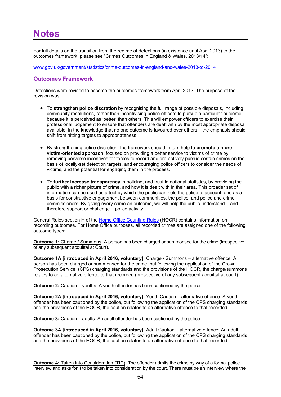For full details on the transition from the regime of detections (in existence until April 2013) to the outcomes framework, please see "Crimes Outcomes in England & Wales, 2013/14":

www.gov.uk/government/statistics/crime-outcomes-in-england-and-wales-2013-to-2014

## **Outcomes Framework**

Detections were revised to become the outcomes framework from April 2013. The purpose of the revision was:

- To **strengthen police discretion** by recognising the full range of possible disposals, including community resolutions, rather than incentivising police officers to pursue a particular outcome because it is perceived as 'better' than others. This will empower officers to exercise their professional judgement to ensure that offenders are dealt with by the most appropriate disposal available, in the knowledge that no one outcome is favoured over others – the emphasis should shift from hitting targets to appropriateness.
- By strengthening police discretion, the framework should in turn help to **promote a more victim-oriented approach**, focused on providing a better service to victims of crime by removing perverse incentives for forces to record and pro-actively pursue certain crimes on the basis of locally-set detection targets, and encouraging police officers to consider the needs of victims, and the potential for engaging them in the process.
- To **further increase transparency** in policing, and trust in national statistics, by providing the public with a richer picture of crime, and how it is dealt with in their area. This broader set of information can be used as a tool by which the public can hold the police to account, and as a basis for constructive engagement between communities, the police, and police and crime commissioners. By giving every crime an outcome, we will help the public understand – and therefore support or challenge – police activity.

General Rules section H of the [Home Office Counting Rules](https://www.gov.uk/government/publications/counting-rules-for-recorded-crime) (HOCR) contains information on recording outcomes. For Home Office purposes, all recorded crimes are assigned one of the following outcome types:

**Outcome 1:** Charge / Summons: A person has been charged or summonsed for the crime (irrespective of any subsequent acquittal at Court).

**Outcome 1A [introduced in April 2016, voluntary]:** Charge / Summons - alternative offence: A person has been charged or summonsed for the crime, but following the application of the Crown Prosecution Service (CPS) charging standards and the provisions of the HOCR, the charge/summons relates to an alternative offence to that recorded (irrespective of any subsequent acquittal at court).

**Outcome 2:** Caution – youths: A youth offender has been cautioned by the police.

**Outcome 2A [introduced in April 2016, voluntary]:** Youth Caution – alternative offence: A youth offender has been cautioned by the police, but following the application of the CPS charging standards and the provisions of the HOCR, the caution relates to an alternative offence to that recorded.

**Outcome 3:** Caution – adults: An adult offender has been cautioned by the police.

**Outcome 3A [introduced in April 2016, voluntary]:** Adult Caution – alternative offence: An adult offender has been cautioned by the police, but following the application of the CPS charging standards and the provisions of the HOCR, the caution relates to an alternative offence to that recorded.

**Outcome 4:** Taken into Consideration (TIC): The offender admits the crime by way of a formal police interview and asks for it to be taken into consideration by the court. There must be an interview where the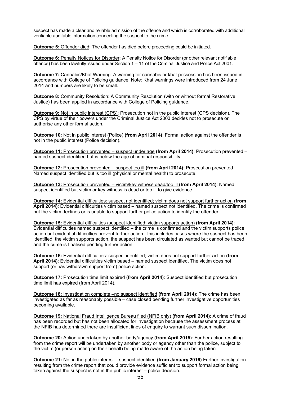suspect has made a clear and reliable admission of the offence and which is corroborated with additional verifiable auditable information connecting the suspect to the crime.

**Outcome 5:** Offender died: The offender has died before proceeding could be initiated.

**Outcome 6:** Penalty Notices for Disorder: A Penalty Notice for Disorder (or other relevant notifiable offence) has been lawfully issued under Section 1 – 11 of the Criminal Justice and Police Act 2001.

**Outcome 7:** Cannabis/Khat Warning: A warning for cannabis or khat possession has been issued in accordance with College of Policing guidance. Note: Khat warnings were introduced from 24 June 2014 and numbers are likely to be small.

**Outcome 8:** Community Resolution: A Community Resolution (with or without formal Restorative Justice) has been applied in accordance with College of Policing guidance.

**Outcome 9:** Not in public interest (CPS): Prosecution not in the public interest (CPS decision). The CPS by virtue of their powers under the Criminal Justice Act 2003 decides not to prosecute or authorise any other formal action.

**Outcome 10:** Not in public interest (Police) **(from April 2014)**: Formal action against the offender is not in the public interest (Police decision).

**Outcome 11:** Prosecution prevented – suspect under age **(from April 2014)**: Prosecution prevented – named suspect identified but is below the age of criminal responsibility.

**Outcome 12:** Prosecution prevented – suspect too ill **(from April 2014)**: Prosecution prevented – Named suspect identified but is too ill (physical or mental health) to prosecute.

**Outcome 13:** Prosecution prevented – victim/key witness dead/too ill **(from April 2014)**: Named suspect identified but victim or key witness is dead or too ill to give evidence

**Outcome 14:** Evidential difficulties: suspect not identified; victim does not support further action **(from April 2014)**: Evidential difficulties victim based – named suspect not identified. The crime is confirmed but the victim declines or is unable to support further police action to identify the offender.

**Outcome 15:** Evidential difficulties (suspect identified; victim supports action) **(from April 2014)**: Evidential difficulties named suspect identified – the crime is confirmed and the victim supports police action but evidential difficulties prevent further action. This includes cases where the suspect has been identified, the victim supports action, the suspect has been circulated as wanted but cannot be traced and the crime is finalised pending further action.

**Outcome 16:** Evidential difficulties: suspect identified; victim does not support further action **(from April 2014)**: Evidential difficulties victim based – named suspect identified. The victim does not support (or has withdrawn support from) police action.

**Outcome 17:** Prosecution time limit expired **(from April 2014)**: Suspect identified but prosecution time limit has expired (from April 2014).

**Outcome 18:** Investigation complete –no suspect identified **(from April 2014)**: The crime has been investigated as far as reasonably possible – case closed pending further investigative opportunities becoming available.

**Outcome 19:** National Fraud Intelligence Bureau filed (NFIB only) **(from April 2014)**: A crime of fraud has been recorded but has not been allocated for investigation because the assessment process at the NFIB has determined there are insufficient lines of enquiry to warrant such dissemination.

**Outcome 20:** Action undertaken by another body/agency **(from April 2015)**: Further action resulting from the crime report will be undertaken by another body or agency other than the police, subject to the victim (or person acting on their behalf) being made aware of the action being taken.

**Outcome 21:** Not in the public interest – suspect identified **(from January 2016)** Further investigation resulting from the crime report that could provide evidence sufficient to support formal action being taken against the suspect is not in the public interest – police decision.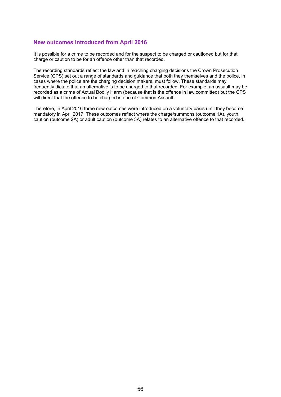#### **New outcomes introduced from April 2016**

It is possible for a crime to be recorded and for the suspect to be charged or cautioned but for that charge or caution to be for an offence other than that recorded.

The recording standards reflect the law and in reaching charging decisions the Crown Prosecution Service (CPS) set out a range of standards and guidance that both they themselves and the police, in cases where the police are the charging decision makers, must follow. These standards may frequently dictate that an alternative is to be charged to that recorded. For example, an assault may be recorded as a crime of Actual Bodily Harm (because that is the offence in law committed) but the CPS will direct that the offence to be charged is one of Common Assault.

Therefore, in April 2016 three new outcomes were introduced on a voluntary basis until they become mandatory in April 2017. These outcomes reflect where the charge/summons (outcome 1A), youth caution (outcome 2A) or adult caution (outcome 3A) relates to an alternative offence to that recorded.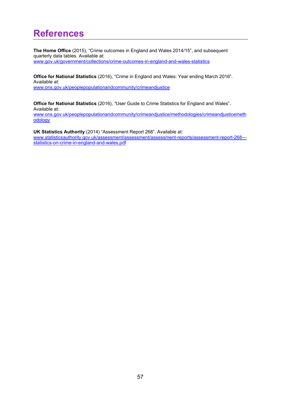## **References**

**The Home Office** (2015), "Crime outcomes in England and Wales 2014/15", and subsequent quarterly data tables. Available at: www.gov.uk/government/collections/crime-outcomes-in-england-and-wales-statistics

**Office for National Statistics** (2016), "Crime in England and Wales: Year ending March 2016"*.*  Available at: www.ons.gov.uk/peoplepopulationandcommunity/crimeandjustice

**Office for National Statistics** (2016), *"*User Guide to Crime Statistics for England and Wales". Available at:

www.ons.gov.uk/peoplepopulationandcommunity/crimeandjustice/methodologies/crimeandjusticemeth odology

**UK Statistics Authority** (2014) "Assessment Report 268"*.* Available at:

www.statisticsauthority.gov.uk/assessment/assessment/assessment-reports/assessment-report-268--statistics-on-crime-in-england-and-wales.pdf